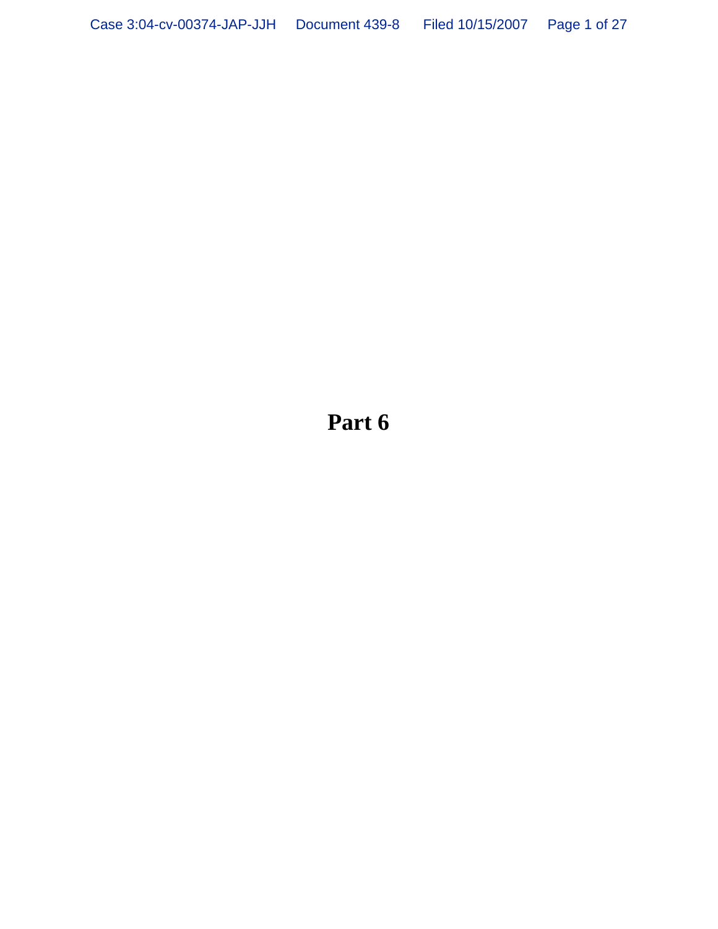**Part 6**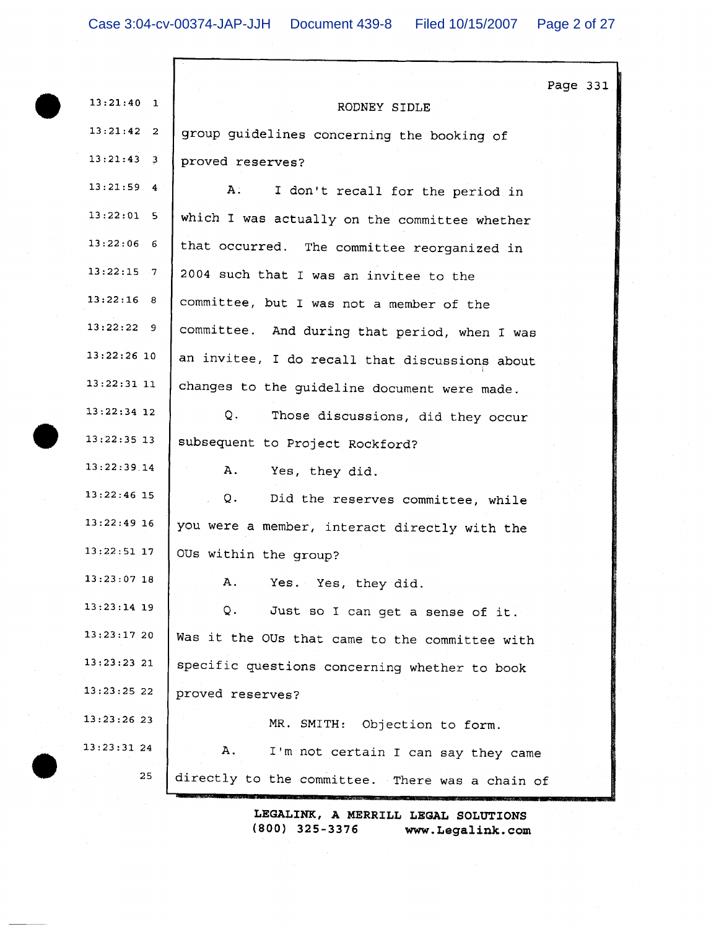$\Box$ 

|               | Page 331                                        |
|---------------|-------------------------------------------------|
| $13:21:40$ 1  | RODNEY SIDLE                                    |
| $13:21:42$ 2  | group guidelines concerning the booking of      |
| $13:21:43$ 3  | proved reserves?                                |
| $13:21:59$ 4  | Α.<br>I don't recall for the period in          |
| $13:22:01$ 5  | which I was actually on the committee whether   |
| $13:22:06$ 6  | that occurred. The committee reorganized in     |
| $13:22:15$ 7  | 2004 such that I was an invitee to the          |
| 13:22:16 8    | committee, but I was not a member of the        |
| 13:22:229     | committee. And during that period, when I was   |
| $13:22:26$ 10 | an invitee, I do recall that discussions about  |
| $13:22:31$ 11 | changes to the guideline document were made.    |
| $13:22:34$ 12 | Q.<br>Those discussions, did they occur         |
| $13:22:35$ 13 | subsequent to Project Rockford?                 |
| 13:22:39.14   | Α.<br>Yes, they did.                            |
| $13:22:46$ 15 | Q.<br>Did the reserves committee, while         |
| $13:22:49$ 16 | you were a member, interact directly with the   |
| $13:22:51$ 17 | OUs within the group?                           |
| $13:23:07$ 18 | Yes. Yes, they did.<br>А.                       |
| $13:23:14$ 19 | Q.<br>Just so I can get a sense of it.          |
| 13:23:1720    | Was it the OUs that came to the committee with  |
| 13:23:23 21   | specific questions concerning whether to book   |
| $13:23:25$ 22 | proved reserves?                                |
| 13:23:2623    | MR. SMITH: Objection to form.                   |
| 13:23:3124    | Α.<br>I'm not certain I can say they came       |
| 25            | directly to the committee. There was a chain of |
|               |                                                 |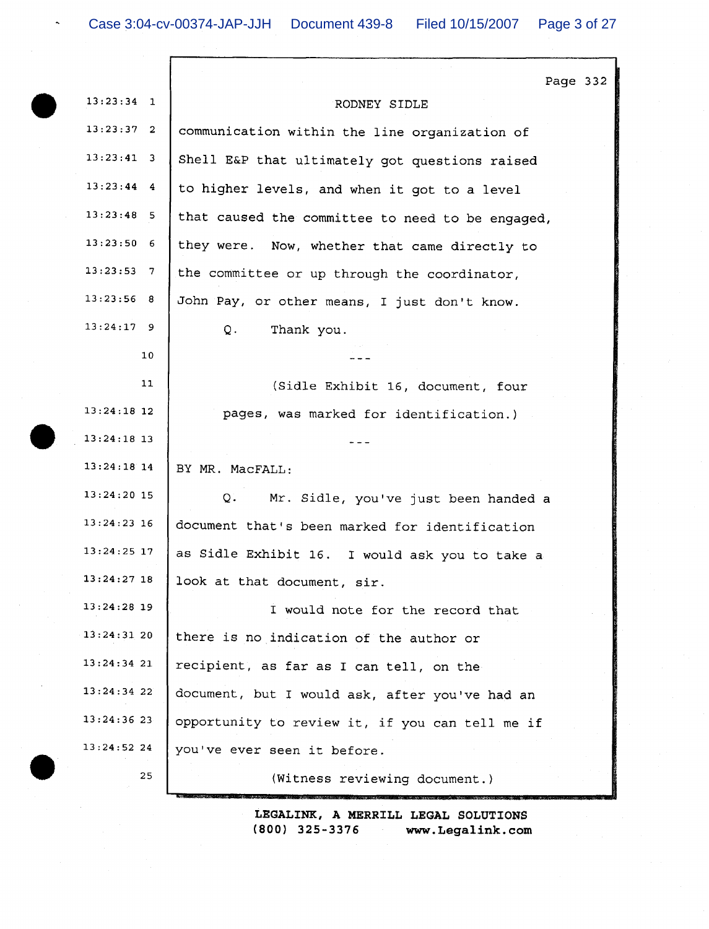$\hat{\phantom{a}}$ 

 $\overline{a}$ 

| $13:23:34$ 1  | Page 33<br>RODNEY SIDLE                          |
|---------------|--------------------------------------------------|
| $13:23:37$ 2  | communication within the line organization of    |
| $13:23:41$ 3  | Shell E&P that ultimately got questions raised   |
| $13:23:44$ 4  | to higher levels, and when it got to a level     |
| $13:23:48$ 5  | that caused the committee to need to be engaged, |
| $13:23:50$ 6  | they were. Now, whether that came directly to    |
| $13:23:53$ 7  | the committee or up through the coordinator,     |
| 13:23:56 8    | John Pay, or other means, I just don't know.     |
| $13:24:17$ 9  | $Q$ .<br>Thank you.                              |
| 10            |                                                  |
| 11            | (Sidle Exhibit 16, document, four                |
| $13:24:18$ 12 | pages, was marked for identification.)           |
| $13:24:18$ 13 |                                                  |
| $13:24:18$ 14 | BY MR. MacFALL:                                  |
| $13:24:20$ 15 | Q.<br>Mr. Sidle, you've just been handed a       |
| $13:24:23$ 16 | document that's been marked for identification   |
| $13:24:25$ 17 | as Sidle Exhibit 16. I would ask you to take a   |
| 13:24:27 18   | look at that document, sir.                      |
| 13:24:28 19   | I would note for the record that                 |
| $13:24:31$ 20 | there is no indication of the author or          |
| 13:24:3421    | recipient, as far as I can tell, on the          |
| $13:24:34$ 22 | document, but I would ask, after you've had an   |
| $13:24:36$ 23 | opportunity to review it, if you can tell me if  |
| 13:24:52 24   | you've ever seen it before.                      |
| 25            | (Witness reviewing document.)                    |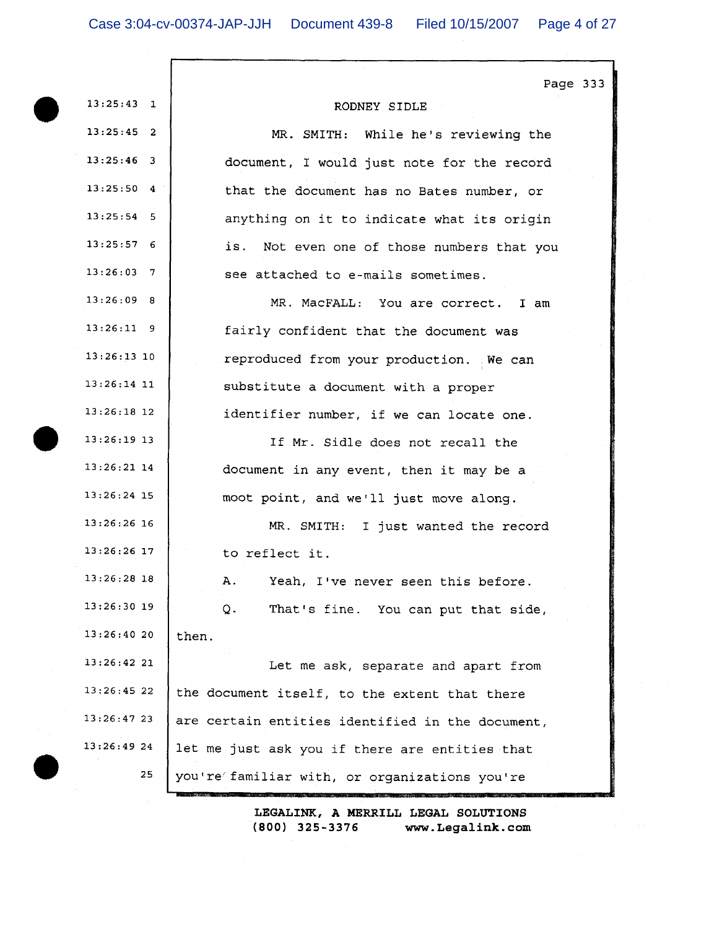Г

| Page 333<br>$13:25:43$ 1<br>RODNEY SIDLE<br>$13:25:45$ 2<br>MR. SMITH: While he's reviewing the<br>$13:25:46$ 3<br>document, I would just note for the record<br>$13:25:50$ 4<br>that the document has no Bates number, or<br>$13:25:54$ 5<br>anything on it to indicate what its origin<br>13:25:576<br>is. Not even one of those numbers that you<br>$13:26:03$ 7<br>see attached to e-mails sometimes.<br>$13:26:09$ 8<br>MR. MacFALL: You are correct. I am<br>$13:26:11$ 9<br>fairly confident that the document was<br>$13:26:13$ 10<br>reproduced from your production. We can<br>$13:26:14$ 11<br>substitute a document with a proper<br>$13:26:18$ 12<br>identifier number, if we can locate one.<br>$13:26:19$ 13<br>If Mr. Sidle does not recall the<br>$13:26:21$ 14<br>document in any event, then it may be a<br>$13:26:24$ 15<br>moot point, and we'll just move along.<br>$13:26:26$ 16<br>MR. SMITH: I just wanted the record<br>$13:26:26$ 17<br>to reflect it.<br>$13:26:28$ 18<br>A. Yeah, I've never seen this before<br>$13:26:30$ 19<br>That's fine. You can put that side,<br>Q.<br>13:26:4020<br>then.<br>13:26:42 21<br>Let me ask, separate and apart from<br>13:26:4522<br>the document itself, to the extent that there<br>$13:26:47$ 23<br>are certain entities identified in the document,<br>13:26:49 24<br>let me just ask you if there are entities that<br>25<br>you're familiar with, or organizations you're |  |
|---------------------------------------------------------------------------------------------------------------------------------------------------------------------------------------------------------------------------------------------------------------------------------------------------------------------------------------------------------------------------------------------------------------------------------------------------------------------------------------------------------------------------------------------------------------------------------------------------------------------------------------------------------------------------------------------------------------------------------------------------------------------------------------------------------------------------------------------------------------------------------------------------------------------------------------------------------------------------------------------------------------------------------------------------------------------------------------------------------------------------------------------------------------------------------------------------------------------------------------------------------------------------------------------------------------------------------------------------------------------------------------------------------------------------------------------------|--|
|                                                                                                                                                                                                                                                                                                                                                                                                                                                                                                                                                                                                                                                                                                                                                                                                                                                                                                                                                                                                                                                                                                                                                                                                                                                                                                                                                                                                                                                   |  |
|                                                                                                                                                                                                                                                                                                                                                                                                                                                                                                                                                                                                                                                                                                                                                                                                                                                                                                                                                                                                                                                                                                                                                                                                                                                                                                                                                                                                                                                   |  |
|                                                                                                                                                                                                                                                                                                                                                                                                                                                                                                                                                                                                                                                                                                                                                                                                                                                                                                                                                                                                                                                                                                                                                                                                                                                                                                                                                                                                                                                   |  |
|                                                                                                                                                                                                                                                                                                                                                                                                                                                                                                                                                                                                                                                                                                                                                                                                                                                                                                                                                                                                                                                                                                                                                                                                                                                                                                                                                                                                                                                   |  |
|                                                                                                                                                                                                                                                                                                                                                                                                                                                                                                                                                                                                                                                                                                                                                                                                                                                                                                                                                                                                                                                                                                                                                                                                                                                                                                                                                                                                                                                   |  |
|                                                                                                                                                                                                                                                                                                                                                                                                                                                                                                                                                                                                                                                                                                                                                                                                                                                                                                                                                                                                                                                                                                                                                                                                                                                                                                                                                                                                                                                   |  |
|                                                                                                                                                                                                                                                                                                                                                                                                                                                                                                                                                                                                                                                                                                                                                                                                                                                                                                                                                                                                                                                                                                                                                                                                                                                                                                                                                                                                                                                   |  |
|                                                                                                                                                                                                                                                                                                                                                                                                                                                                                                                                                                                                                                                                                                                                                                                                                                                                                                                                                                                                                                                                                                                                                                                                                                                                                                                                                                                                                                                   |  |
|                                                                                                                                                                                                                                                                                                                                                                                                                                                                                                                                                                                                                                                                                                                                                                                                                                                                                                                                                                                                                                                                                                                                                                                                                                                                                                                                                                                                                                                   |  |
|                                                                                                                                                                                                                                                                                                                                                                                                                                                                                                                                                                                                                                                                                                                                                                                                                                                                                                                                                                                                                                                                                                                                                                                                                                                                                                                                                                                                                                                   |  |
|                                                                                                                                                                                                                                                                                                                                                                                                                                                                                                                                                                                                                                                                                                                                                                                                                                                                                                                                                                                                                                                                                                                                                                                                                                                                                                                                                                                                                                                   |  |
|                                                                                                                                                                                                                                                                                                                                                                                                                                                                                                                                                                                                                                                                                                                                                                                                                                                                                                                                                                                                                                                                                                                                                                                                                                                                                                                                                                                                                                                   |  |
|                                                                                                                                                                                                                                                                                                                                                                                                                                                                                                                                                                                                                                                                                                                                                                                                                                                                                                                                                                                                                                                                                                                                                                                                                                                                                                                                                                                                                                                   |  |
|                                                                                                                                                                                                                                                                                                                                                                                                                                                                                                                                                                                                                                                                                                                                                                                                                                                                                                                                                                                                                                                                                                                                                                                                                                                                                                                                                                                                                                                   |  |
|                                                                                                                                                                                                                                                                                                                                                                                                                                                                                                                                                                                                                                                                                                                                                                                                                                                                                                                                                                                                                                                                                                                                                                                                                                                                                                                                                                                                                                                   |  |
|                                                                                                                                                                                                                                                                                                                                                                                                                                                                                                                                                                                                                                                                                                                                                                                                                                                                                                                                                                                                                                                                                                                                                                                                                                                                                                                                                                                                                                                   |  |
|                                                                                                                                                                                                                                                                                                                                                                                                                                                                                                                                                                                                                                                                                                                                                                                                                                                                                                                                                                                                                                                                                                                                                                                                                                                                                                                                                                                                                                                   |  |
|                                                                                                                                                                                                                                                                                                                                                                                                                                                                                                                                                                                                                                                                                                                                                                                                                                                                                                                                                                                                                                                                                                                                                                                                                                                                                                                                                                                                                                                   |  |
|                                                                                                                                                                                                                                                                                                                                                                                                                                                                                                                                                                                                                                                                                                                                                                                                                                                                                                                                                                                                                                                                                                                                                                                                                                                                                                                                                                                                                                                   |  |
|                                                                                                                                                                                                                                                                                                                                                                                                                                                                                                                                                                                                                                                                                                                                                                                                                                                                                                                                                                                                                                                                                                                                                                                                                                                                                                                                                                                                                                                   |  |
|                                                                                                                                                                                                                                                                                                                                                                                                                                                                                                                                                                                                                                                                                                                                                                                                                                                                                                                                                                                                                                                                                                                                                                                                                                                                                                                                                                                                                                                   |  |
|                                                                                                                                                                                                                                                                                                                                                                                                                                                                                                                                                                                                                                                                                                                                                                                                                                                                                                                                                                                                                                                                                                                                                                                                                                                                                                                                                                                                                                                   |  |
|                                                                                                                                                                                                                                                                                                                                                                                                                                                                                                                                                                                                                                                                                                                                                                                                                                                                                                                                                                                                                                                                                                                                                                                                                                                                                                                                                                                                                                                   |  |
|                                                                                                                                                                                                                                                                                                                                                                                                                                                                                                                                                                                                                                                                                                                                                                                                                                                                                                                                                                                                                                                                                                                                                                                                                                                                                                                                                                                                                                                   |  |
|                                                                                                                                                                                                                                                                                                                                                                                                                                                                                                                                                                                                                                                                                                                                                                                                                                                                                                                                                                                                                                                                                                                                                                                                                                                                                                                                                                                                                                                   |  |
|                                                                                                                                                                                                                                                                                                                                                                                                                                                                                                                                                                                                                                                                                                                                                                                                                                                                                                                                                                                                                                                                                                                                                                                                                                                                                                                                                                                                                                                   |  |
|                                                                                                                                                                                                                                                                                                                                                                                                                                                                                                                                                                                                                                                                                                                                                                                                                                                                                                                                                                                                                                                                                                                                                                                                                                                                                                                                                                                                                                                   |  |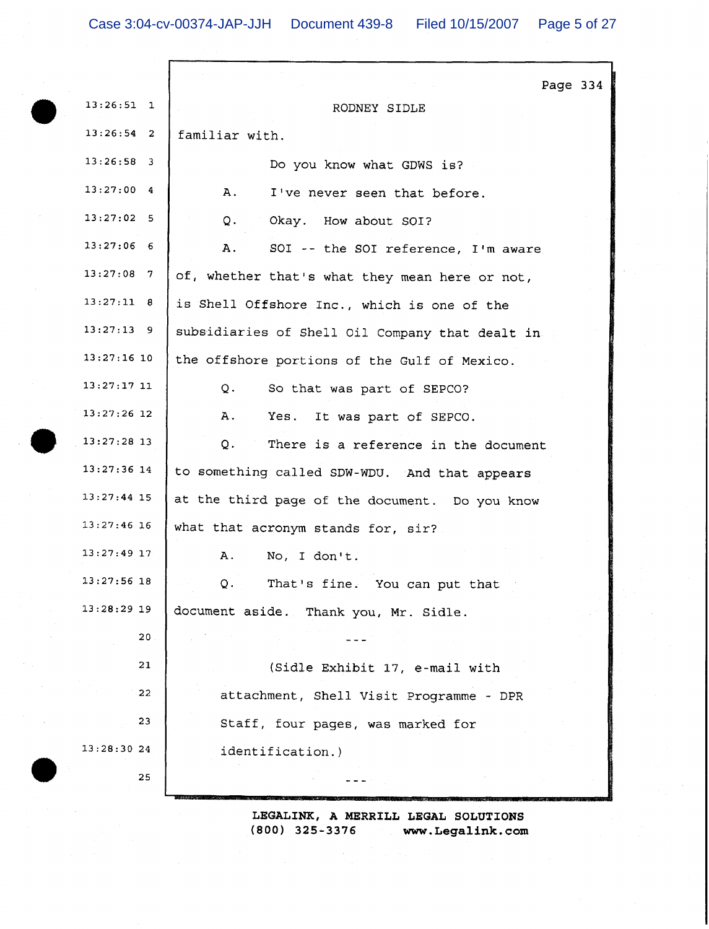|                 | Page 334                                        |
|-----------------|-------------------------------------------------|
| $13:26:51$ 1    | RODNEY SIDLE                                    |
| $13:26:54$ 2    | familiar with.                                  |
| $13:26:58$ 3    | Do you know what GDWS is?                       |
| $13:27:00$ 4    | A.<br>I've never seen that before.              |
| $13:27:02$ 5    | Q.<br>Okay. How about SOI?                      |
| $13:27:06$ 6    | A.<br>SOI -- the SOI reference, I'm aware       |
| $13:27:08$ 7    | of, whether that's what they mean here or not,  |
| 13:27:11 8      | is Shell Offshore Inc., which is one of the     |
| $13:27:13$ 9    | subsidiaries of Shell Oil Company that dealt in |
| $13:27:16$ 10   | the offshore portions of the Gulf of Mexico.    |
| $13:27:17$ 11   | Q.<br>So that was part of SEPCO?                |
| 13:27:26 12     | Α.<br>Yes.<br>It was part of SEPCO.             |
| $13:27:28$ 13   | Q.<br>There is a reference in the document      |
| $13:27:36$ 14   | to something called SDW-WDU. And that appears   |
| $13:27:44$ 15   | at the third page of the document. Do you know  |
| 13:27:46 16     | what that acronym stands for, sir?              |
| 13:27:49 17     | No, I don't.<br>А.                              |
| 13:27:56 18     | That's fine. You can put that<br>Q.             |
| $13:28:29$ 19   | document aside. Thank you, Mr. Sidle.           |
| 20 <sub>o</sub> |                                                 |
| 21              | (Sidle Exhibit 17, e-mail with                  |
| 22              | attachment, Shell Visit Programme - DPR         |
| 23              | Staff, four pages, was marked for               |
| 13:28:30 24     | identification.)                                |
| 25              |                                                 |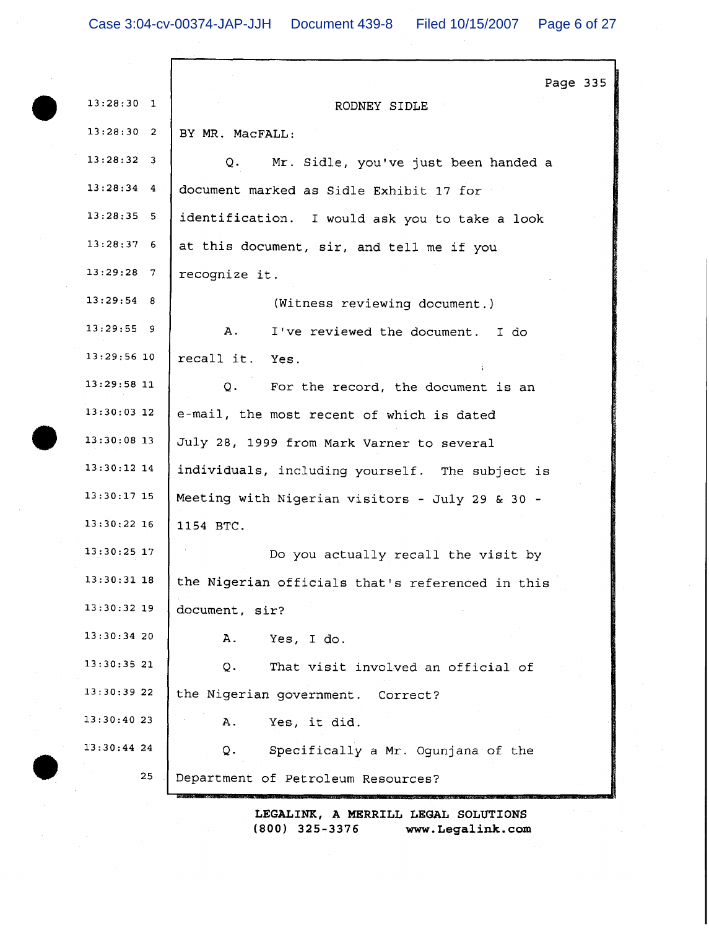Г

|               | Page 335                                         |
|---------------|--------------------------------------------------|
| $13:28:30$ 1  | RODNEY SIDLE                                     |
| 13:28:30 2    | BY MR. MacFALL:                                  |
| $13:28:32$ 3  | Mr. Sidle, you've just been handed a<br>Q.       |
| $13:28:34$ 4  | document marked as Sidle Exhibit 17 for          |
| $13:28:35$ 5  | identification. I would ask you to take a look   |
| 13:28:376     | at this document, sir, and tell me if you        |
| $13:29:28$ 7  | recognize it.                                    |
| 13:29:54 8    | (Witness reviewing document.)                    |
| $13:29:55$ 9  | Α.<br>I've reviewed the document. I do           |
| $13:29:56$ 10 | recall it. Yes.                                  |
| $13:29:58$ 11 | Q.<br>For the record, the document is an         |
| $13:30:03$ 12 | e-mail, the most recent of which is dated        |
| $13:30:08$ 13 | July 28, 1999 from Mark Varner to several        |
| $13:30:12$ 14 | individuals, including yourself. The subject is  |
| 13:30:17 15   | Meeting with Nigerian visitors - July 29 & 30 -  |
| 13:30:22 16   | 1154 BTC.                                        |
| 13:30:25 17   | Do you actually recall the visit by              |
| 13:30:31 18   | the Nigerian officials that's referenced in this |
| 13:30:32 19   | document, sir?                                   |
| $13:30:34$ 20 | Yes, I do.<br>Α.                                 |
| 13:30:3521    | That visit involved an official of<br>Q.         |
| 13:30:39 22   | the Nigerian government. Correct?                |
| 13:30:4023    | Yes, it did.<br>Α.                               |
| 13:30:44 24   | Specifically a Mr. Ogunjana of the<br>Q.         |
| 25            | Department of Petroleum Resources?               |
|               |                                                  |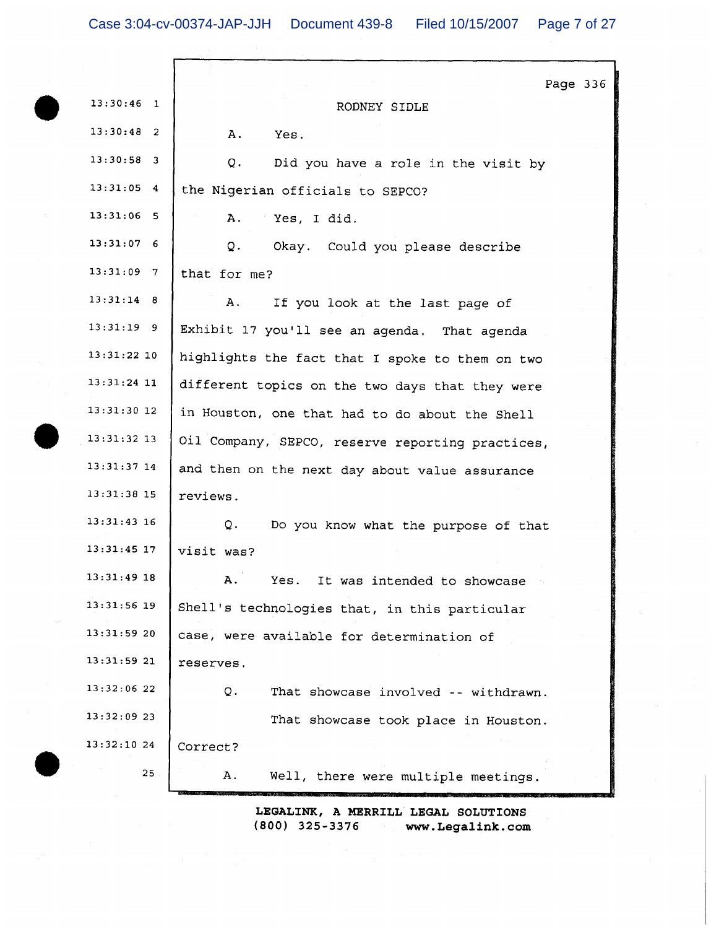| $13:30:46$ 1<br>RODNEY SIDLE<br>$13:30:48$ 2<br>Α.<br>Yes.<br>$13:30:58$ 3<br>Q.<br>Did you have a role in the visit by<br>$13:31:05$ 4<br>the Nigerian officials to SEPCO?<br>$13:31:06$ 5<br>Α.<br>Yes, I did.<br>$13:31:07$ 6<br>Q.<br>Okay. Could you please describe<br>$13:31:09$ 7<br>that for me?<br>$13:31:14$ 8<br>А.<br>If you look at the last page of<br>$13:31:19$ 9<br>Exhibit 17 you'll see an agenda. That agenda<br>$13:31:22$ 10<br>highlights the fact that I spoke to them on two<br>$13:31:24$ 11<br>different topics on the two days that they were<br>$13:31:30$ 12<br>in Houston, one that had to do about the Shell<br>$13:31:32$ 13<br>Oil Company, SEPCO, reserve reporting practices,<br>$13:31:37$ 14<br>and then on the next day about value assurance<br>13:31:38 15<br>reviews.<br>$13:31:43$ 16<br>Q.<br>Do you know what the purpose of that<br>$13:31:45$ 17<br>visit was?<br>13:31:49 18<br>A.<br>It was intended to showcase<br>Yes.<br>13:31:56 19<br>Shell's technologies that, in this particular<br>13:31:5920<br>case, were available for determination of<br>13:31:59 21<br>reserves.<br>13:32:0622<br>That showcase involved -- withdrawn.<br>Q.<br>$13:32:09$ 23<br>That showcase took place in Houston.<br>13:32:1024<br>Correct?<br>25 | Page 336                                  |
|----------------------------------------------------------------------------------------------------------------------------------------------------------------------------------------------------------------------------------------------------------------------------------------------------------------------------------------------------------------------------------------------------------------------------------------------------------------------------------------------------------------------------------------------------------------------------------------------------------------------------------------------------------------------------------------------------------------------------------------------------------------------------------------------------------------------------------------------------------------------------------------------------------------------------------------------------------------------------------------------------------------------------------------------------------------------------------------------------------------------------------------------------------------------------------------------------------------------------------------------------------------------------------------|-------------------------------------------|
|                                                                                                                                                                                                                                                                                                                                                                                                                                                                                                                                                                                                                                                                                                                                                                                                                                                                                                                                                                                                                                                                                                                                                                                                                                                                                        |                                           |
|                                                                                                                                                                                                                                                                                                                                                                                                                                                                                                                                                                                                                                                                                                                                                                                                                                                                                                                                                                                                                                                                                                                                                                                                                                                                                        |                                           |
|                                                                                                                                                                                                                                                                                                                                                                                                                                                                                                                                                                                                                                                                                                                                                                                                                                                                                                                                                                                                                                                                                                                                                                                                                                                                                        |                                           |
|                                                                                                                                                                                                                                                                                                                                                                                                                                                                                                                                                                                                                                                                                                                                                                                                                                                                                                                                                                                                                                                                                                                                                                                                                                                                                        |                                           |
|                                                                                                                                                                                                                                                                                                                                                                                                                                                                                                                                                                                                                                                                                                                                                                                                                                                                                                                                                                                                                                                                                                                                                                                                                                                                                        |                                           |
|                                                                                                                                                                                                                                                                                                                                                                                                                                                                                                                                                                                                                                                                                                                                                                                                                                                                                                                                                                                                                                                                                                                                                                                                                                                                                        |                                           |
|                                                                                                                                                                                                                                                                                                                                                                                                                                                                                                                                                                                                                                                                                                                                                                                                                                                                                                                                                                                                                                                                                                                                                                                                                                                                                        |                                           |
|                                                                                                                                                                                                                                                                                                                                                                                                                                                                                                                                                                                                                                                                                                                                                                                                                                                                                                                                                                                                                                                                                                                                                                                                                                                                                        |                                           |
|                                                                                                                                                                                                                                                                                                                                                                                                                                                                                                                                                                                                                                                                                                                                                                                                                                                                                                                                                                                                                                                                                                                                                                                                                                                                                        |                                           |
|                                                                                                                                                                                                                                                                                                                                                                                                                                                                                                                                                                                                                                                                                                                                                                                                                                                                                                                                                                                                                                                                                                                                                                                                                                                                                        |                                           |
|                                                                                                                                                                                                                                                                                                                                                                                                                                                                                                                                                                                                                                                                                                                                                                                                                                                                                                                                                                                                                                                                                                                                                                                                                                                                                        |                                           |
|                                                                                                                                                                                                                                                                                                                                                                                                                                                                                                                                                                                                                                                                                                                                                                                                                                                                                                                                                                                                                                                                                                                                                                                                                                                                                        |                                           |
|                                                                                                                                                                                                                                                                                                                                                                                                                                                                                                                                                                                                                                                                                                                                                                                                                                                                                                                                                                                                                                                                                                                                                                                                                                                                                        |                                           |
|                                                                                                                                                                                                                                                                                                                                                                                                                                                                                                                                                                                                                                                                                                                                                                                                                                                                                                                                                                                                                                                                                                                                                                                                                                                                                        |                                           |
|                                                                                                                                                                                                                                                                                                                                                                                                                                                                                                                                                                                                                                                                                                                                                                                                                                                                                                                                                                                                                                                                                                                                                                                                                                                                                        |                                           |
|                                                                                                                                                                                                                                                                                                                                                                                                                                                                                                                                                                                                                                                                                                                                                                                                                                                                                                                                                                                                                                                                                                                                                                                                                                                                                        |                                           |
|                                                                                                                                                                                                                                                                                                                                                                                                                                                                                                                                                                                                                                                                                                                                                                                                                                                                                                                                                                                                                                                                                                                                                                                                                                                                                        |                                           |
|                                                                                                                                                                                                                                                                                                                                                                                                                                                                                                                                                                                                                                                                                                                                                                                                                                                                                                                                                                                                                                                                                                                                                                                                                                                                                        |                                           |
|                                                                                                                                                                                                                                                                                                                                                                                                                                                                                                                                                                                                                                                                                                                                                                                                                                                                                                                                                                                                                                                                                                                                                                                                                                                                                        |                                           |
|                                                                                                                                                                                                                                                                                                                                                                                                                                                                                                                                                                                                                                                                                                                                                                                                                                                                                                                                                                                                                                                                                                                                                                                                                                                                                        |                                           |
|                                                                                                                                                                                                                                                                                                                                                                                                                                                                                                                                                                                                                                                                                                                                                                                                                                                                                                                                                                                                                                                                                                                                                                                                                                                                                        |                                           |
|                                                                                                                                                                                                                                                                                                                                                                                                                                                                                                                                                                                                                                                                                                                                                                                                                                                                                                                                                                                                                                                                                                                                                                                                                                                                                        |                                           |
|                                                                                                                                                                                                                                                                                                                                                                                                                                                                                                                                                                                                                                                                                                                                                                                                                                                                                                                                                                                                                                                                                                                                                                                                                                                                                        |                                           |
|                                                                                                                                                                                                                                                                                                                                                                                                                                                                                                                                                                                                                                                                                                                                                                                                                                                                                                                                                                                                                                                                                                                                                                                                                                                                                        |                                           |
|                                                                                                                                                                                                                                                                                                                                                                                                                                                                                                                                                                                                                                                                                                                                                                                                                                                                                                                                                                                                                                                                                                                                                                                                                                                                                        | Α.<br>Well, there were multiple meetings. |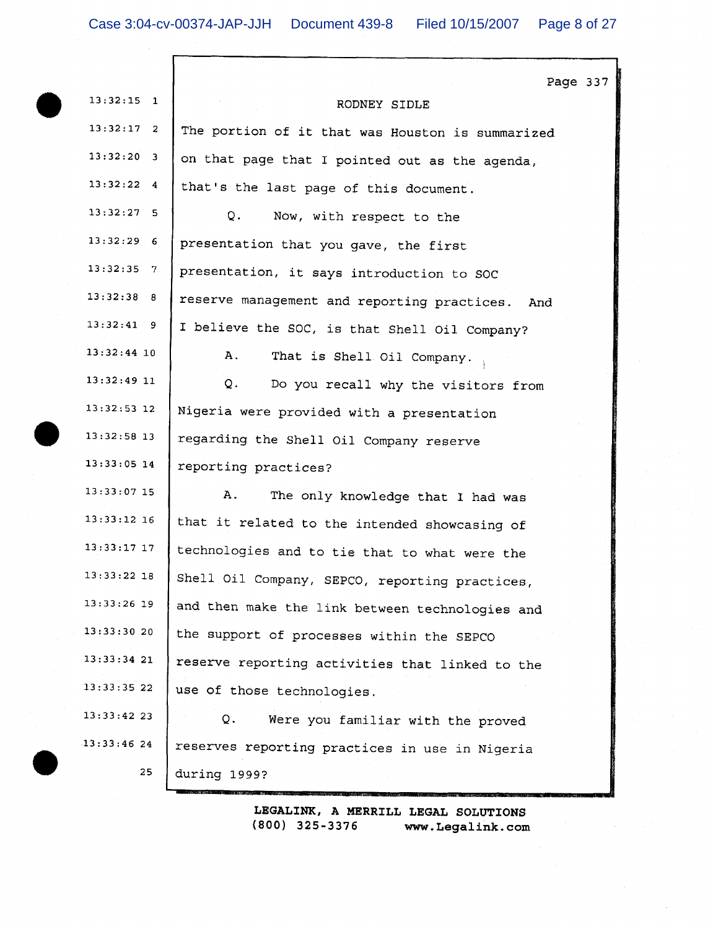| $13:32:15$ 1       | Page 337<br>RODNEY SIDLE                           |
|--------------------|----------------------------------------------------|
| $13:32:17$ 2       | The portion of it that was Houston is summarized   |
| 13:32:20 3         | on that page that I pointed out as the agenda,     |
| $13:32:22 \quad 4$ | that's the last page of this document.             |
| $13:32:27$ 5       | Q.<br>Now, with respect to the                     |
| 13:32:296          | presentation that you gave, the first              |
| $13:32:35$ 7       | presentation, it says introduction to SOC          |
| 13:32:38 8         | reserve management and reporting practices.<br>And |
| 13:32:41 9         | I believe the SOC, is that Shell Oil Company?      |
| $13:32:44$ 10      | Α.<br>That is Shell Oil Company.                   |
| 13:32:4911         | Q.<br>Do you recall why the visitors from          |
| $13:32:53$ 12      | Nigeria were provided with a presentation          |
| 13:32:58 13        | regarding the Shell Oil Company reserve            |
| $13:33:05$ 14      | reporting practices?                               |
| $13:33:07$ 15      | Α.<br>The only knowledge that I had was            |
| $13:33:12$ 16      | that it related to the intended showcasing of      |
| $13:33:17$ 17      | technologies and to tie that to what were the      |
| $13:33:22$ 18      | Shell Oil Company, SEPCO, reporting practices,     |
| 13:33:26 19        | and then make the link between technologies and    |
| 13:33:30 20        | the support of processes within the SEPCO          |
| 13:33:3421         | reserve reporting activities that linked to the    |
| 13:33:35 22        | use of those technologies.                         |
| 13:33:42 23        | Q.<br>Were you familiar with the proved            |
| 13:33:4624         | reserves reporting practices in use in Nigeria     |
| 25                 | during 1999?                                       |
|                    |                                                    |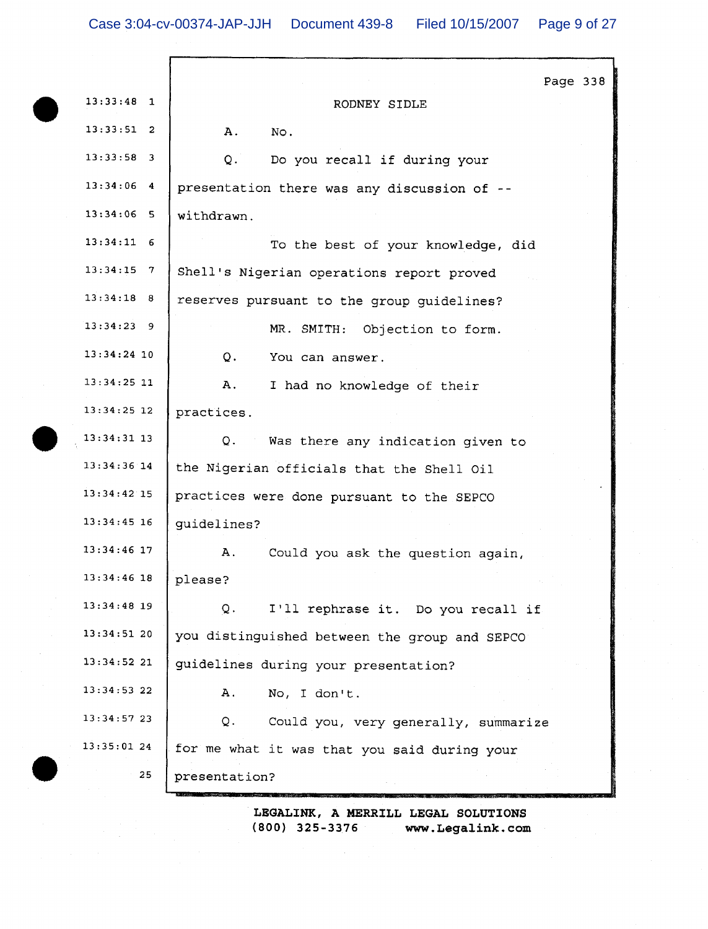Page 338  $13:33:48$  1 RODNEY SIDLE  $13:33:51$  2 A. No.  $13:33:58$  3 Do you recall if during your  $Q_{\star}$  $13:34:06$  4 presentation there was any discussion of -- $13:34:06$  5 withdrawn.  $13:34:11$  6 To the best of your knowledge, did  $13:34:15$  7 Shell's Nigerian operations report proved  $13:34:18$  8 reserves pursuant to the group guidelines?  $13:34:23$  9 MR. SMITH: Objection to form.  $13:34:24$  10 You can answer.  $O<sub>1</sub>$  $13:34:25$  11 A. I had no knowledge of their  $13:34:25$  12 practices.  $13:34:31$  13  $Q<sub>1</sub>$ Was there any indication given to 13:34:36 14 the Nigerian officials that the Shell Oil  $13:34:42$  15 practices were done pursuant to the SEPCO  $13:34:45$  16 guidelines? 13:34:46 17 Α. Could you ask the question again,  $13:34:46$  18 please?  $13:34:48$  19 Q. I'll rephrase it. Do you recall if  $13:34:5120$ you distinguished between the group and SEPCO  $13:34:5221$ guidelines during your presentation?  $13:34:53$  22 A. No, I don't.  $13:34:57$  23  $Q$ . Could you, very generally, summarize  $13:35:0124$ for me what it was that you said during your 25 presentation?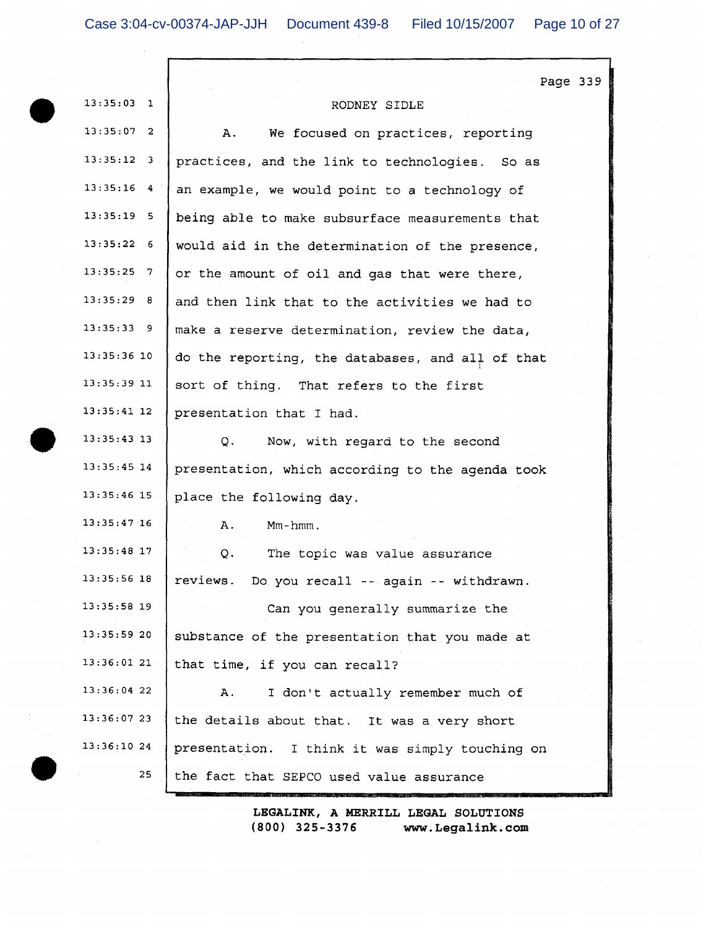|                          | Page 339                                         |
|--------------------------|--------------------------------------------------|
| 13:35:03<br>$\mathbf{1}$ | RODNEY SIDLE                                     |
| $13:35:07$ 2             | A.<br>We focused on practices, reporting         |
| $13:35:12$ 3             | practices, and the link to technologies. So as   |
| $13:35:16$ 4             | an example, we would point to a technology of    |
| $13:35:19$ 5             | being able to make subsurface measurements that  |
| $13:35:22$ 6             | would aid in the determination of the presence,  |
| $13:35:25$ 7             | or the amount of oil and gas that were there,    |
| $13:35:29$ 8             | and then link that to the activities we had to   |
| 13:35:33 9               | make a reserve determination, review the data,   |
| $13:35:36$ 10            | do the reporting, the databases, and all of that |
| $13:35:39$ 11            | sort of thing. That refers to the first          |
| $13:35:41$ 12            | presentation that I had.                         |
| $13:35:43$ 13            | Now, with regard to the second<br>Q.             |
| $13:35:45$ 14            | presentation, which according to the agenda took |
| $13:35:46$ 15            | place the following day.                         |
| $13:35:47$ 16            | $Mm - hmm$ .<br>Α.                               |
| $13:35:48$ 17            | Q.<br>The topic was value assurance              |
| 13:35:56 18              | reviews.<br>Do you recall -- again -- withdrawn. |
| $13:35:58$ 19            | Can you generally summarize the                  |
| 13:35:59 20              | substance of the presentation that you made at   |
| 13:36:0121               | that time, if you can recall?                    |
| $13:36:04$ 22            | I don't actually remember much of<br>Α.          |
| 13:36:0723               | the details about that. It was a very short      |
| 13:36:10 24              | presentation. I think it was simply touching on  |
| 25                       | the fact that SEPCO used value assurance         |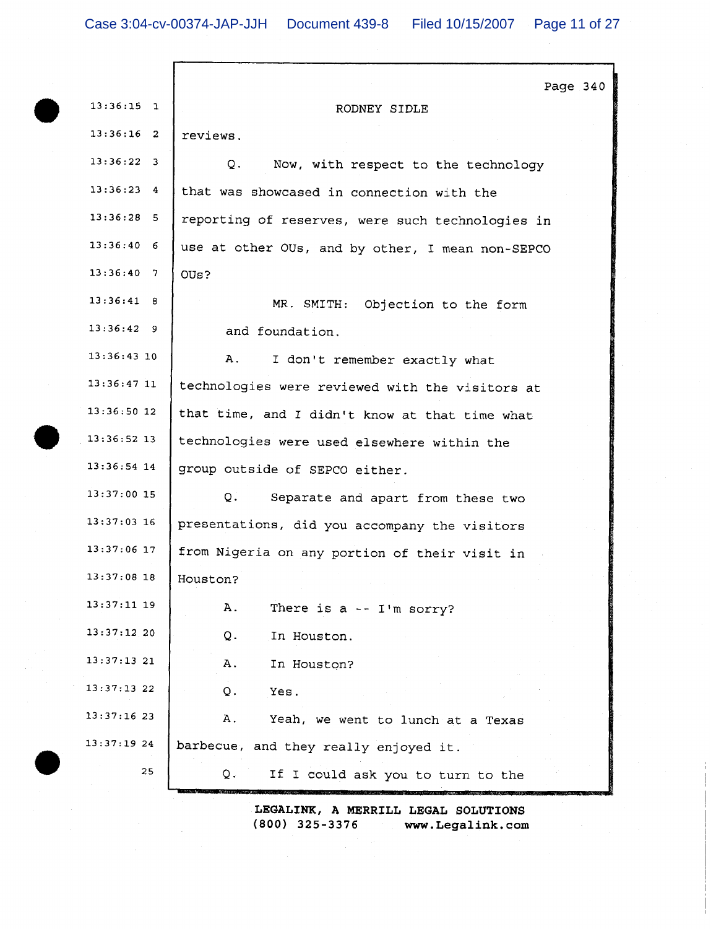| $13:36:15$ 1<br>RODNEY SIDLE<br>$13:36:16$ 2<br>reviews.<br>$13:36:22$ 3<br>Now, with respect to the technology<br>Q.<br>$13:36:23$ 4<br>that was showcased in connection with the<br>$13:36:28$ 5<br>reporting of reserves, were such technologies in<br>$13:36:40$ 6<br>use at other OUs, and by other, I mean non-SEPCO | Page $340$ |
|----------------------------------------------------------------------------------------------------------------------------------------------------------------------------------------------------------------------------------------------------------------------------------------------------------------------------|------------|
|                                                                                                                                                                                                                                                                                                                            |            |
|                                                                                                                                                                                                                                                                                                                            |            |
|                                                                                                                                                                                                                                                                                                                            |            |
|                                                                                                                                                                                                                                                                                                                            |            |
|                                                                                                                                                                                                                                                                                                                            |            |
|                                                                                                                                                                                                                                                                                                                            |            |
| 13:36:40 7<br>OUs?                                                                                                                                                                                                                                                                                                         |            |
| 13:36:41 8<br>MR. SMITH: Objection to the form                                                                                                                                                                                                                                                                             |            |
| 13:36:429<br>and foundation.                                                                                                                                                                                                                                                                                               |            |
| $13:36:43$ 10<br>Α.<br>I don't remember exactly what                                                                                                                                                                                                                                                                       |            |
| $13:36:47$ 11<br>technologies were reviewed with the visitors at                                                                                                                                                                                                                                                           |            |
| 13:36:50 12<br>that time, and I didn't know at that time what                                                                                                                                                                                                                                                              |            |
| $13:36:52$ 13<br>technologies were used elsewhere within the                                                                                                                                                                                                                                                               |            |
| $13:36:54$ 14<br>group outside of SEPCO either.                                                                                                                                                                                                                                                                            |            |
| $13:37:00$ 15<br>Q.<br>Separate and apart from these two                                                                                                                                                                                                                                                                   |            |
| $13:37:03$ 16<br>presentations, did you accompany the visitors                                                                                                                                                                                                                                                             |            |
| $13:37:06$ 17<br>from Nigeria on any portion of their visit in                                                                                                                                                                                                                                                             |            |
| 13:37:08 18<br>Houston?                                                                                                                                                                                                                                                                                                    |            |
| $13:37:11$ 19<br>Α.<br>There is $a - I'm$ sorry?                                                                                                                                                                                                                                                                           |            |
| 13:37:12.20<br>Q.<br>In Houston.                                                                                                                                                                                                                                                                                           |            |
| 13:37:1321<br>Α.<br>In Houston?                                                                                                                                                                                                                                                                                            |            |
| 13:37:1322<br>Yes.<br>Q.                                                                                                                                                                                                                                                                                                   |            |
| 13:37:1623<br>Α.<br>Yeah, we went to lunch at a Texas                                                                                                                                                                                                                                                                      |            |
| 13:37:19 24<br>barbecue, and they really enjoyed it.                                                                                                                                                                                                                                                                       |            |
| 25<br>Q.<br>If I could ask you to turn to the                                                                                                                                                                                                                                                                              |            |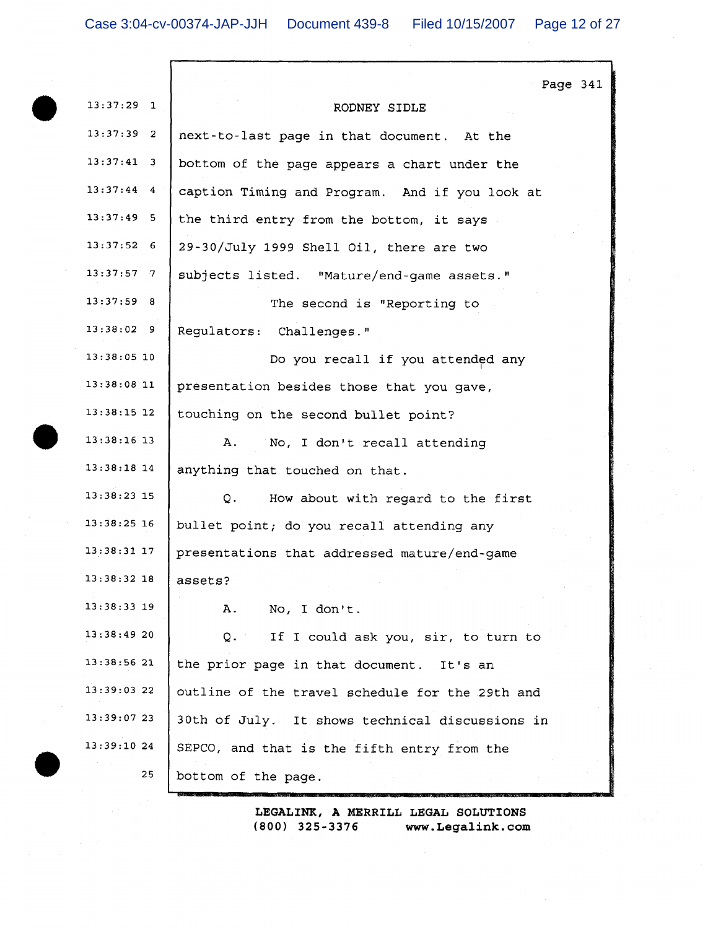|               | Page 341                                        |
|---------------|-------------------------------------------------|
| $13:37:29$ 1  | RODNEY SIDLE                                    |
| $13:37:39$ 2  | next-to-last page in that document. At the      |
| $13:37:41$ 3  | bottom of the page appears a chart under the    |
| $13:37:44$ 4  | caption Timing and Program. And if you look at  |
| $13:37:49$ 5  | the third entry from the bottom, it says        |
| $13:37:52$ 6  | 29-30/July 1999 Shell Oil, there are two        |
| $13:37:57$ 7  | subjects listed. "Mature/end-game assets."      |
| 13:37:59 8    | The second is "Reporting to                     |
| 13:38:029     | Regulators: Challenges."                        |
| 13:38:05 10   | Do you recall if you attended any               |
| $13:38:08$ 11 | presentation besides those that you gave,       |
| $13:38:15$ 12 | touching on the second bullet point?            |
| $13:38:16$ 13 | No, I don't recall attending<br>Α.              |
| $13:38:18$ 14 | anything that touched on that.                  |
| $13:38:23$ 15 | Q.<br>How about with regard to the first        |
| $13:38:25$ 16 | bullet point; do you recall attending any       |
| $13:38:31$ 17 | presentations that addressed mature/end-game    |
| 13:38:32 18   | assets?                                         |
| $13:38:33$ 19 | Α.<br>No, I don't.                              |
| 13:38:4920    | Q. If I could ask you, sir, to turn to          |
| 13:38:56 21   | the prior page in that document. It's an        |
| 13:39:03 22   | outline of the travel schedule for the 29th and |
| 13:39:0723    | 30th of July. It shows technical discussions in |
| 13:39:1024    | SEPCO, and that is the fifth entry from the     |
| 25            | bottom of the page.                             |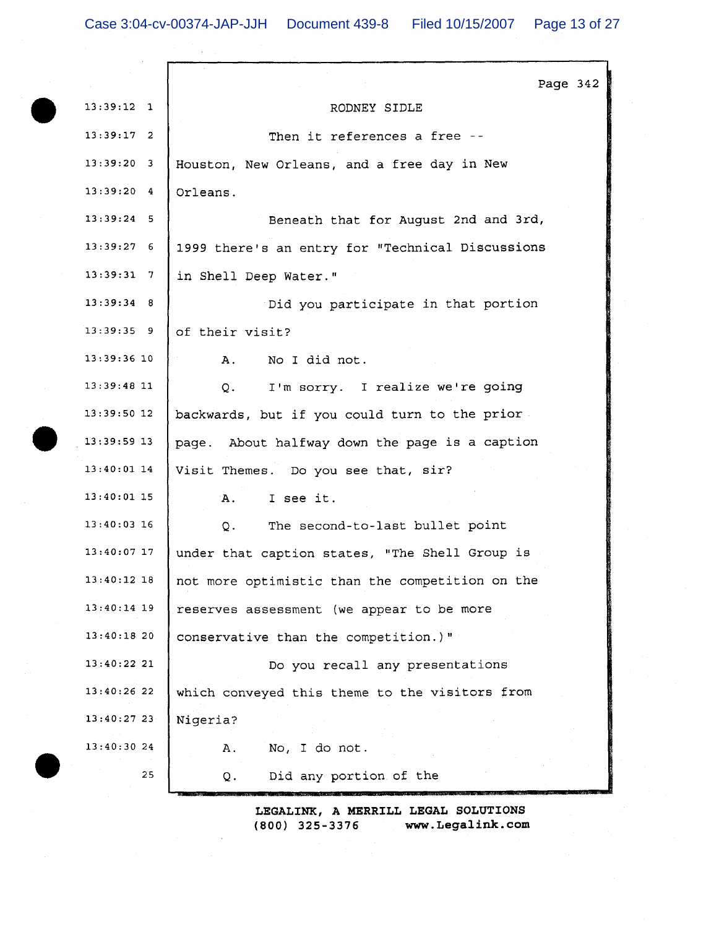|               | Page 342                                          |
|---------------|---------------------------------------------------|
| $13:39:12$ 1  | RODNEY SIDLE                                      |
| $13:39:17$ 2  | Then it references a free --                      |
| $13:39:20$ 3  | Houston, New Orleans, and a free day in New       |
| $13:39:20$ 4  | Orleans.                                          |
| $13:39:24$ 5  | Beneath that for August 2nd and 3rd,              |
| $13:39:27$ 6  | 1999 there's an entry for "Technical Discussions  |
| 13:39:317     | in Shell Deep Water."                             |
| $13:39:34$ 8  | Did you participate in that portion               |
| $13:39:35$ 9  | of their visit?                                   |
| $13:39:36$ 10 | No I did not.<br>A.                               |
| $13:39:48$ 11 | I'm sorry. I realize we're going<br>Q.            |
| $13:39:50$ 12 | backwards, but if you could turn to the prior     |
| 13:39:59 13   | page. About halfway down the page is a caption    |
| $13:40:01$ 14 | Visit Themes. Do you see that, sir?               |
| $13:40:01$ 15 | I see it.<br>A.                                   |
| $13:40:03$ 16 | The second-to-last bullet point<br>Q <sub>1</sub> |
| $13:40:07$ 17 | under that caption states, "The Shell Group is    |
| $13:40:12$ 18 | not more optimistic than the competition on the   |
| $13:40:14$ 19 | reserves assessment (we appear to be more         |
| 13:40:1820    | conservative than the competition.)"              |
| 13:40:22 21   | Do you recall any presentations                   |
| $13:40:26$ 22 | which conveyed this theme to the visitors from    |
| $13:40:27$ 23 | Nigeria?                                          |
| 13:40:30 24   | No, I do not.<br>Α.                               |
| 25            | Did any portion of the<br>Q.                      |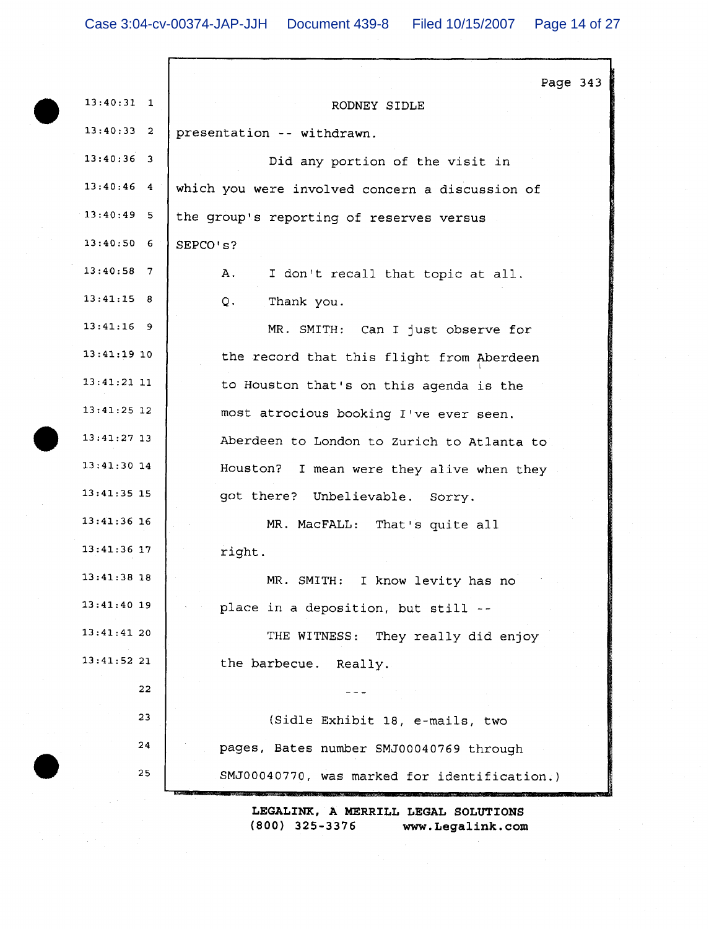|               | Page 343                                        |
|---------------|-------------------------------------------------|
| $13:40:31$ 1  | RODNEY SIDLE                                    |
| $13:40:33$ 2  | presentation -- withdrawn.                      |
| $13:40:36$ 3  | Did any portion of the visit in                 |
| $13:40:46$ 4  | which you were involved concern a discussion of |
| $13:40:49$ 5  | the group's reporting of reserves versus        |
| $13:40:50$ 6  | SEPCO's?                                        |
| $13:40:58$ 7  | Α.<br>I don't recall that topic at all.         |
| 13:41:15 8    | Thank you.<br>Q.                                |
| $13:41:16$ 9  | MR. SMITH: Can I just observe for               |
| $13:41:19$ 10 | the record that this flight from Aberdeen       |
| $13:41:21$ 11 | to Houston that's on this agenda is the         |
| $13:41:25$ 12 | most atrocious booking I've ever seen.          |
| $13:41:27$ 13 | Aberdeen to London to Zurich to Atlanta to      |
| $13:41:30$ 14 | Houston? I mean were they alive when they       |
| $13:41:35$ 15 | got there? Unbelievable. Sorry.                 |
| $13:41:36$ 16 | MR. MacFALL: That's quite all                   |
| $13:41:36$ 17 | right.                                          |
| $13:41:38$ 18 | MR. SMITH: I know levity has no                 |
| $13:41:40$ 19 | place in a deposition, but still --             |
| 13:41:4120    | THE WITNESS: They really did enjoy              |
| 13:41:52 21   | the barbecue. Really.                           |
| 22            |                                                 |
| 23            | (Sidle Exhibit 18, e-mails, two                 |
| 24            | pages, Bates number SMJ00040769 through         |
| 25            | SMJ00040770, was marked for identification.)    |
|               | LEGALINK, A MERRILL LEGAL SOLUTIONS             |

 $(800)$  325-3376 www.Legalink.com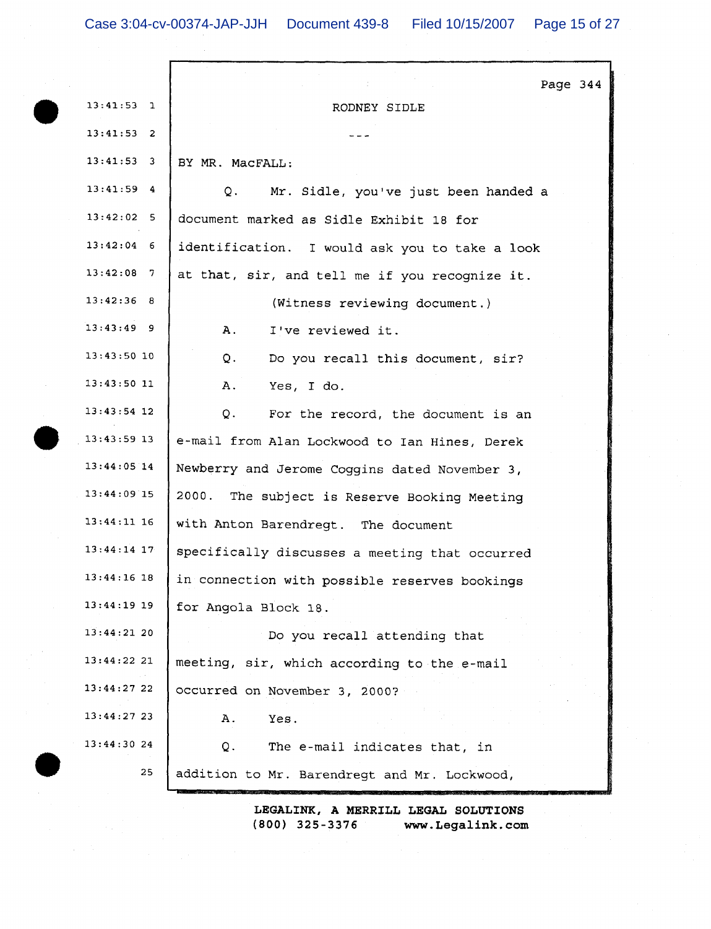|               | Page 344                                       |
|---------------|------------------------------------------------|
| 13:41:53 1    | RODNEY SIDLE                                   |
| $13:41:53$ 2  |                                                |
| $13:41:53$ 3  | BY MR. MacFALL:                                |
| $13:41:59$ 4  | Q.<br>Mr. Sidle, you've just been handed a     |
| $13:42:02$ 5  | document marked as Sidle Exhibit 18 for        |
| $13:42:04$ 6  | identification. I would ask you to take a look |
| $13:42:08$ 7  | at that, sir, and tell me if you recognize it. |
| 13:42:36 8    | (Witness reviewing document.)                  |
| $13:43:49$ 9  | Α.<br>I've reviewed it.                        |
| $13:43:50$ 10 | Q.<br>Do you recall this document, sir?        |
| $13:43:50$ 11 | Α.<br>Yes, I do.                               |
| $13:43:54$ 12 | Q.<br>For the record, the document is an       |
| $13:43:59$ 13 | e-mail from Alan Lockwood to Ian Hines, Derek  |
| $13:44:05$ 14 | Newberry and Jerome Coggins dated November 3,  |
| $13:44:09$ 15 | 2000. The subject is Reserve Booking Meeting   |
| $13:44:11$ 16 | with Anton Barendregt. The document            |
| $13:44:14$ 17 | specifically discusses a meeting that occurred |
| $13:44:16$ 18 | in connection with possible reserves bookings  |
| 13:44:19 19   | for Angola Block 18.                           |
| 13:44:21 20   | Do you recall attending that                   |
| 13:44:22 21   | meeting, sir, which according to the e-mail    |
| 13:44:27 22   | occurred on November 3, 2000?                  |
| 13:44:27 23   | Α.<br>Yes.                                     |
| 13:44:30 24   | Q.<br>The e-mail indicates that, in            |
| 25            | addition to Mr. Barendregt and Mr. Lockwood,   |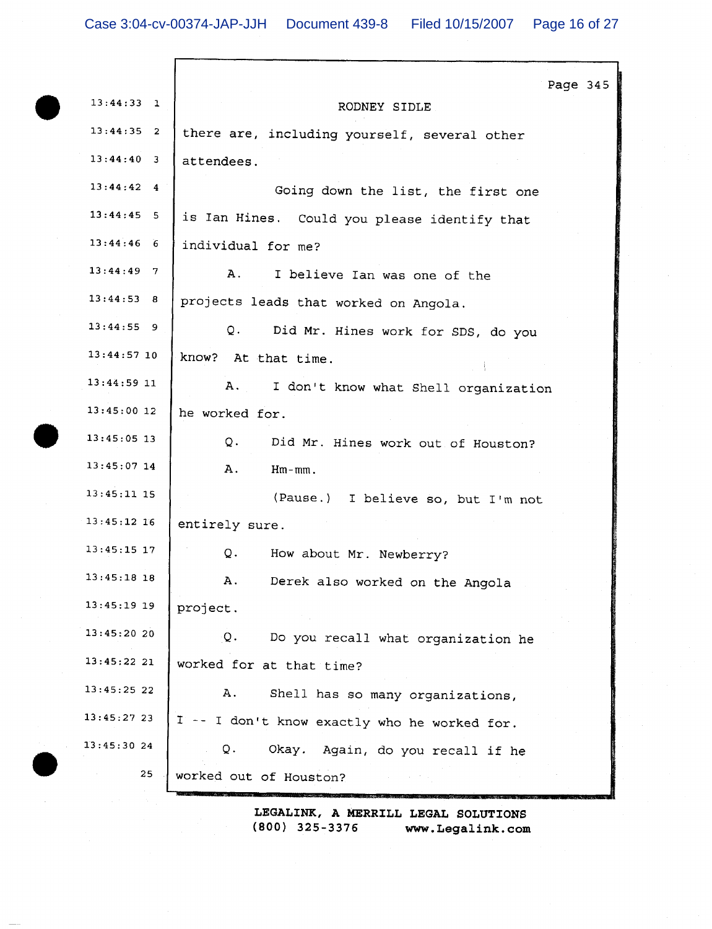|               | Page 345                                     |
|---------------|----------------------------------------------|
| $13:44:33$ 1  | RODNEY SIDLE                                 |
| $13:44:35$ 2  | there are, including yourself, several other |
| $13:44:40$ 3  | attendees.                                   |
| $13:44:42$ 4  | Going down the list, the first one           |
| $13:44:45$ 5  | is Ian Hines. Could you please identify that |
| $13:44:46$ 6  | individual for me?                           |
| $13:44:49$ 7  | Α.<br>I believe Ian was one of the           |
| 13:44:53 8    | projects leads that worked on Angola.        |
| $13:44:55$ 9  | $Q$ .<br>Did Mr. Hines work for SDS, do you  |
| $13:44:57$ 10 | know? At that time.                          |
| $13:44:59$ 11 | A. I don't know what Shell organization      |
| $13:45:00$ 12 | he worked for.                               |
| $13:45:05$ 13 | Q.<br>Did Mr. Hines work out of Houston?     |
| $13:45:07$ 14 | Α.<br>$Hm-mm$ .                              |
| $13:45:11$ 15 | (Pause.) I believe so, but I'm not           |
| $13:45:12$ 16 | entirely sure.                               |
| $13:45:15$ 17 | Q.<br>How about Mr. Newberry?                |
| $13:45:18$ 18 | Α.<br>Derek also worked on the Angola        |
| 13:45:19 19   | project.                                     |
| 13:45:2020    | Q.<br>Do you recall what organization he     |
| 13:45:2221    | worked for at that time?                     |
| 13:45:25 22   | Α.<br>Shell has so many organizations,       |
| 13:45:2723    | I -- I don't know exactly who he worked for. |
| 13:45:30 24   | Q.<br>Okay. Again, do you recall if he       |
| 25            | worked out of Houston?                       |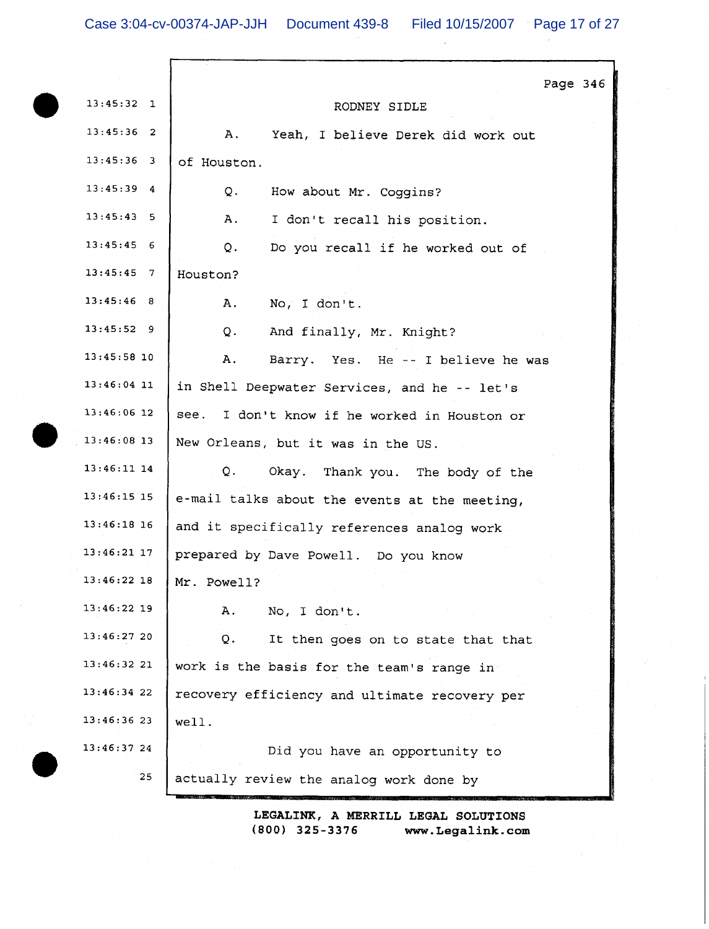|               | Page 346                                        |
|---------------|-------------------------------------------------|
| $13:45:32$ 1  | RODNEY SIDLE                                    |
| $13:45:36$ 2  | Α.<br>Yeah, I believe Derek did work out        |
| $13:45:36$ 3  | of Houston.                                     |
| 13:45:39<br>4 | Q.<br>How about Mr. Coggins?                    |
| 13:45:43:5    | Α.<br>I don't recall his position.              |
| $13:45:45$ 6  | Q.<br>Do you recall if he worked out of         |
| $13:45:45$ 7  | Houston?                                        |
| $13:45:46$ 8  | Α.<br>No, I don't.                              |
| $13:45:52$ 9  | $Q_{\star}$<br>And finally, Mr. Knight?         |
| $13:45:58$ 10 | Α.<br>Barry. Yes. He -- I believe he was        |
| $13:46:04$ 11 | in Shell Deepwater Services, and he -- let's    |
| $13:46:06$ 12 | I don't know if he worked in Houston or<br>see. |
| $13:46:08$ 13 | New Orleans, but it was in the US.              |
| $13:46:11$ 14 | Q.<br>Okay. Thank you. The body of the          |
| $13:46:15$ 15 | e-mail talks about the events at the meeting,   |
| $13:46:18$ 16 | and it specifically references analog work      |
| $13:46:21$ 17 | prepared by Dave Powell. Do you know            |
| $13:46:22$ 18 | Mr. Powell?                                     |
| $13:46:22$ 19 | No, I don't.<br>Α.                              |
| 13:46:27 20   | Q.<br>It then goes on to state that that        |
| 13:46:32 21   | work is the basis for the team's range in       |
| 13:46:34 22   | recovery efficiency and ultimate recovery per   |
| 13:46:3623    | well.                                           |
| 13:46:3724    | Did you have an opportunity to                  |
| 25            | actually review the analog work done by         |
|               |                                                 |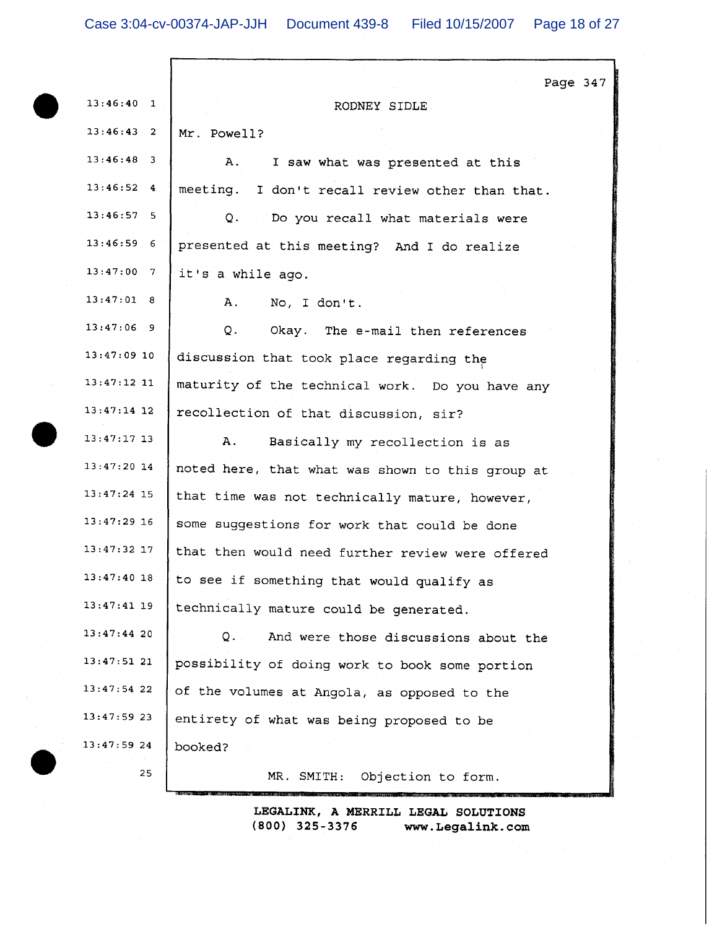|               | Page 347                                                    |
|---------------|-------------------------------------------------------------|
| $13:46:40$ 1  | RODNEY SIDLE                                                |
| $13:46:43$ 2  | Mr. Powell?                                                 |
| $13:46:48$ 3  | I saw what was presented at this<br>Α.                      |
| $13:46:52$ 4  | meeting. I don't recall review other than that.             |
| $13:46:57$ 5  | $Q_+$ and $\mathbb{Q}$<br>Do you recall what materials were |
| $13:46:59$ 6  | presented at this meeting? And I do realize                 |
| $13:47:00$ 7  | it's a while ago.                                           |
| 13:47:01 8    | Α.<br>No, I don't.                                          |
| $13:47:06$ 9  | Q.<br>Okay. The e-mail then references                      |
| $13:47:09$ 10 | discussion that took place regarding the                    |
| $13:47:12$ 11 | maturity of the technical work. Do you have any             |
| $13:47:14$ 12 | recollection of that discussion, sir?                       |
| $13:47:17$ 13 | Α.<br>Basically my recollection is as                       |
| $13:47:20$ 14 | noted here, that what was shown to this group at            |
| $13:47:24$ 15 | that time was not technically mature, however,              |
| $13:47:29$ 16 | some suggestions for work that could be done                |
| $13:47:32$ 17 | that then would need further review were offered            |
| $13:47:40$ 18 | to see if something that would qualify as                   |
| $13:47:41$ 19 | technically mature could be generated.                      |
| $13:47:44$ 20 | $Q_{\star}$ .<br>And were those discussions about the       |
| 13:47:5121    | possibility of doing work to book some portion              |
| $13:47:54$ 22 | of the volumes at Angola, as opposed to the                 |
| $13:47:59$ 23 | entirety of what was being proposed to be                   |
| 13:47:59 24   | booked?                                                     |
| 25            | MR. SMITH:<br>Objection to form.                            |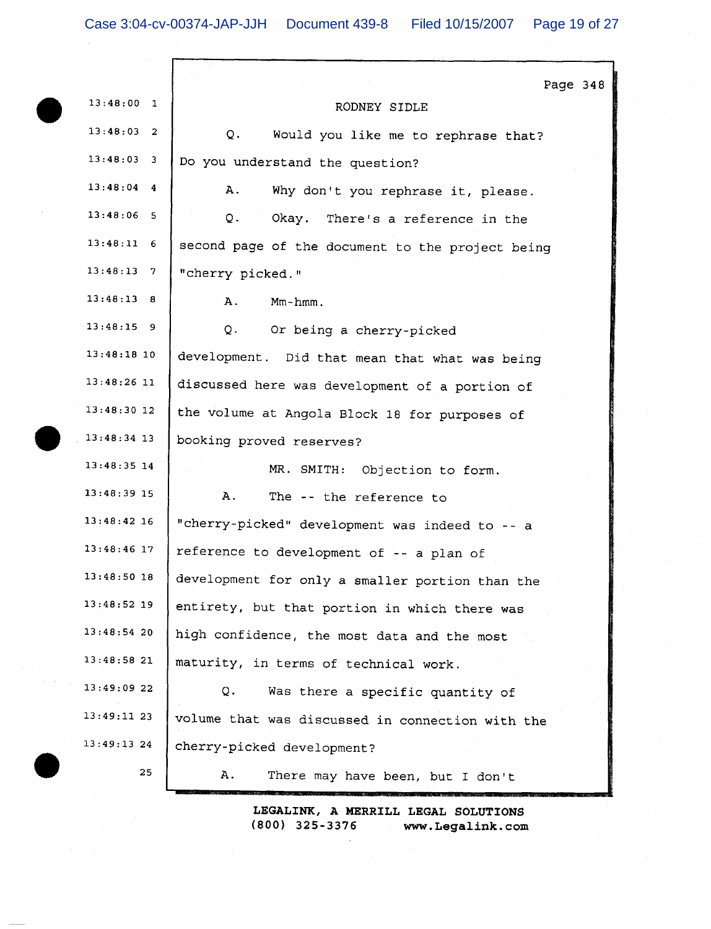$\alpha$  ,  $\alpha$ 

| $13:48:00$ 1  | Page 348<br>RODNEY SIDLE                         |
|---------------|--------------------------------------------------|
| $13:48:03$ 2  | Q.<br>Would you like me to rephrase that?        |
| $13:48:03$ 3  | Do you understand the question?                  |
| $13:48:04$ 4  | Α.<br>Why don't you rephrase it, please.         |
| $13:48:06$ 5  | Q.<br>Okay. There's a reference in the           |
| $13:48:11$ 6  | second page of the document to the project being |
| $13:48:13$ 7  | "cherry picked."                                 |
| 13:48:13 8    | $Mm - hmm$ .<br>Α.                               |
| $13:48:15$ 9  | Q.<br>Or being a cherry-picked                   |
| $13:48:18$ 10 | development. Did that mean that what was being   |
| $13:48:26$ 11 | discussed here was development of a portion of   |
| $13:48:30$ 12 | the volume at Angola Block 18 for purposes of    |
| $13:48:34$ 13 | booking proved reserves?                         |
| $13:48:35$ 14 | MR. SMITH: Objection to form.                    |
| 13:48:39 15   | Α.<br>The -- the reference to                    |
| $13:48:42$ 16 | "cherry-picked" development was indeed to -- a   |
| $13:48:46$ 17 | reference to development of -- a plan of         |
| 13:48:50 18   | development for only a smaller portion than the  |
| $13:48:52$ 19 | entirety, but that portion in which there was    |
| 13:48:5420    | high confidence, the most data and the most      |
| 13:48:58 21   | maturity, in terms of technical work.            |
| 13:49:09 22   | Q.<br>Was there a specific quantity of           |
| 13:49:1123    | volume that was discussed in connection with the |
| $13:49:13$ 24 | cherry-picked development?                       |
| 25            | Α.<br>There may have been, but I don't           |
|               |                                                  |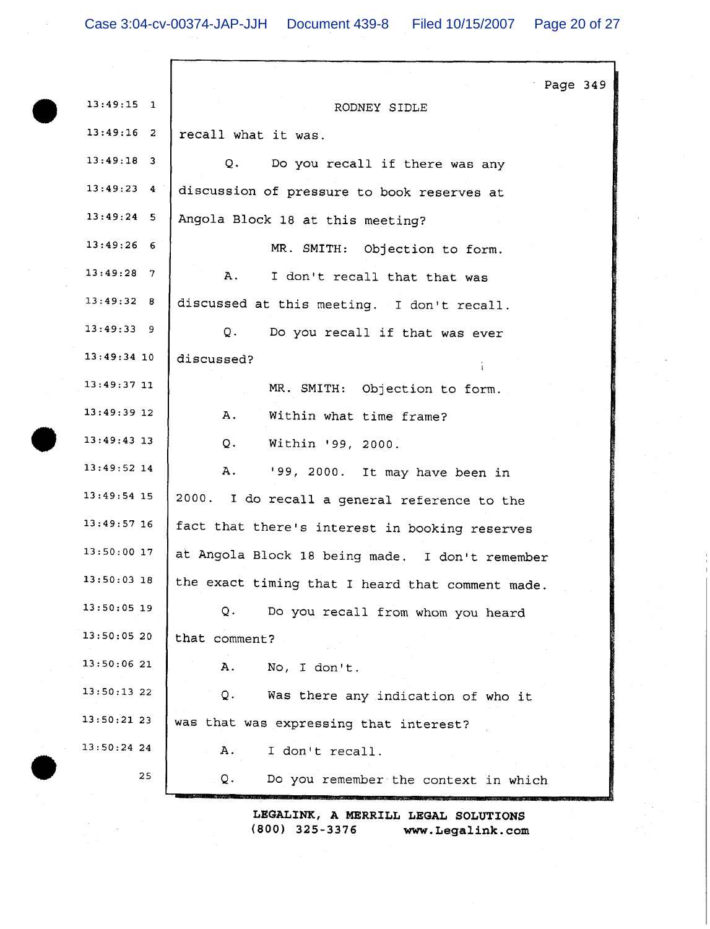Г

| $13:49:15$ 1  | Page 349<br>RODNEY SIDLE                         |
|---------------|--------------------------------------------------|
| $13:49:16$ 2  | recall what it was.                              |
| $13:49:18$ 3  | Q.<br>Do you recall if there was any             |
| $13:49:23$ 4  | discussion of pressure to book reserves at       |
| $13:49:24$ 5  | Angola Block 18 at this meeting?                 |
| $13:49:26$ 6  | MR. SMITH: Objection to form.                    |
| $13:49:28$ 7  | Α.<br>I don't recall that that was               |
| 13:49:32 8    | discussed at this meeting. I don't recall.       |
| 13:49:33 9    | Q.<br>Do you recall if that was ever             |
| $13:49:34$ 10 | discussed?                                       |
| $13:49:37$ 11 | MR. SMITH: Objection to form.                    |
| $13:49:39$ 12 | Α.<br>Within what time frame?                    |
| $13:49:43$ 13 | Q.<br>Within '99, 2000.                          |
| 13:49:52 14   | A.<br>'99, 2000. It may have been in             |
| $13:49:54$ 15 | 2000. I do recall a general reference to the     |
| $13:49:57$ 16 | fact that there's interest in booking reserves   |
| 13:50:00 17   | at Angola Block 18 being made. I don't remember  |
| 13:50:03 18   | the exact timing that I heard that comment made. |
| $13:50:05$ 19 | Q.<br>Do you recall from whom you heard          |
| 13:50:05 20   | that comment?                                    |
| 13:50:0621    | No, I don't.<br>А.                               |
| 13:50:1322    | Was there any indication of who it<br>Q.         |
| 13:50:21 23   | was that was expressing that interest?           |
| $13:50:24$ 24 | I don't recall.<br>А.                            |
| 25            | Q.<br>Do you remember the context in which       |
|               |                                                  |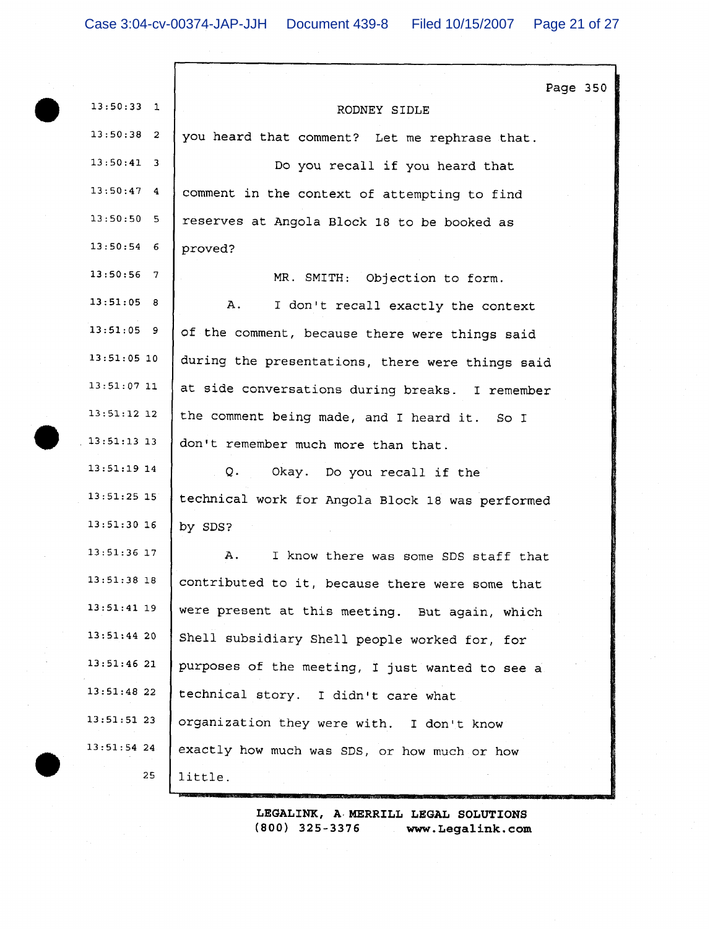r

| $13:50:33$ 1  | Page 350                                         |
|---------------|--------------------------------------------------|
|               | RODNEY SIDLE                                     |
| $13:50:38$ 2  | you heard that comment? Let me rephrase that.    |
| $13:50:41$ 3  | Do you recall if you heard that                  |
| $13:50:47$ 4  | comment in the context of attempting to find     |
| 13:50:50 5    | reserves at Angola Block 18 to be booked as      |
| $13:50:54$ 6  | proved?                                          |
| $13:50:56$ 7  | MR. SMITH: Objection to form.                    |
| 13:51:05 8    | A.<br>I don't recall exactly the context         |
| $13:51:05$ 9  | of the comment, because there were things said   |
| $13:51:05$ 10 | during the presentations, there were things said |
| $13:51:07$ 11 | at side conversations during breaks. I remember  |
| $13:51:12$ 12 | the comment being made, and I heard it. So I     |
| $13:51:13$ 13 | don't remember much more than that.              |
| $13:51:19$ 14 | Q.<br>Okay. Do you recall if the                 |
| $13:51:25$ 15 | technical work for Angola Block 18 was performed |
| $13:51:30$ 16 | by SDS?                                          |
| $13:51:36$ 17 | Α.<br>I know there was some SDS staff that       |
| $13:51:38$ 18 | contributed to it, because there were some that  |
| $13:51:41$ 19 | were present at this meeting. But again, which   |
| 13:51:4420    | Shell subsidiary Shell people worked for, for    |
| $13:51:46$ 21 | purposes of the meeting, I just wanted to see a  |
| 13:51:4822    | technical story. I didn't care what              |
| 13:51:5123    | organization they were with. I don't know        |
| $13:51:54$ 24 | exactly how much was SDS, or how much or how     |
| 25            | little.                                          |
|               |                                                  |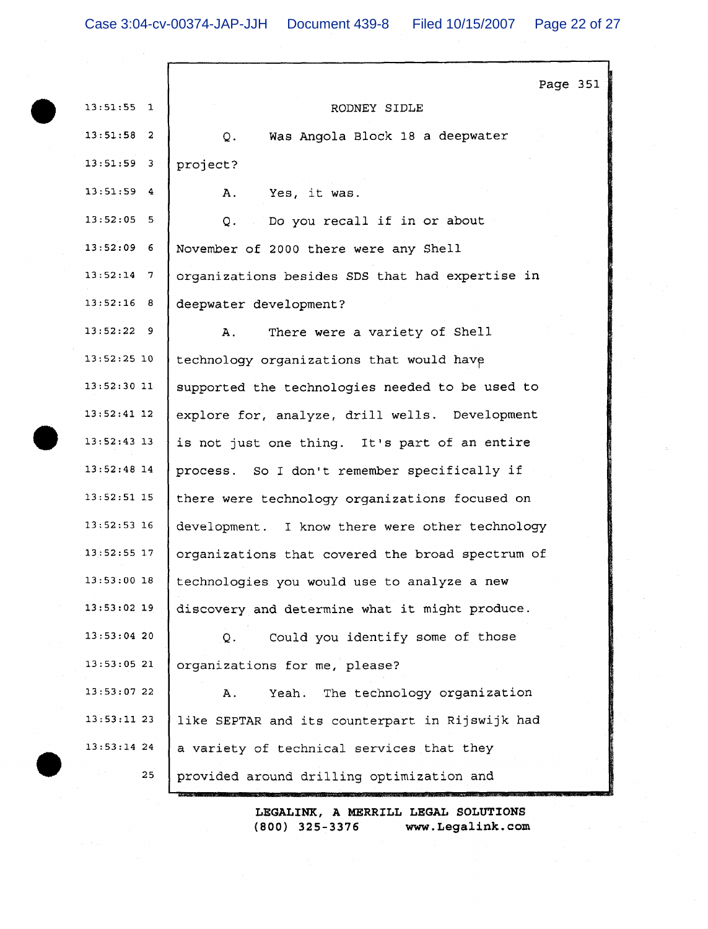r

|               |                                                  | Page 351 |  |
|---------------|--------------------------------------------------|----------|--|
| $13:51:55$ 1  | RODNEY SIDLE                                     |          |  |
| $13:51:58$ 2  | Was Angola Block 18 a deepwater<br>Q.            |          |  |
| $13:51:59$ 3  | project?                                         |          |  |
| $13:51:59$ 4  | Yes, it was.<br>Α.                               |          |  |
| $13:52:05$ 5  | Do you recall if in or about<br>Q.               |          |  |
| $13:52:09$ 6  | November of 2000 there were any Shell            |          |  |
| $13:52:14$ 7  | organizations besides SDS that had expertise in  |          |  |
| $13:52:16$ 8  | deepwater development?                           |          |  |
| $13:52:22$ 9  | There were a variety of Shell<br>Α.              |          |  |
| $13:52:25$ 10 | technology organizations that would have         |          |  |
| $13:52:30$ 11 | supported the technologies needed to be used to  |          |  |
| $13:52:41$ 12 | explore for, analyze, drill wells. Development   |          |  |
| $13:52:43$ 13 | is not just one thing. It's part of an entire    |          |  |
| $13:52:48$ 14 | process. So I don't remember specifically if     |          |  |
| $13:52:51$ 15 | there were technology organizations focused on   |          |  |
| $13:52:53$ 16 | development. I know there were other technology  |          |  |
| $13:52:55$ 17 | organizations that covered the broad spectrum of |          |  |
| 13:53:00 18   | technologies you would use to analyze a new      |          |  |
| $13:53:02$ 19 | discovery and determine what it might produce.   |          |  |
| $13:53:04$ 20 | Could you identify some of those<br>Q.           |          |  |
| 13:53:0521    | organizations for me, please?                    |          |  |
| 13:53:07 22   | Yeah. The technology organization<br>Α.          |          |  |
| $13:53:11$ 23 | like SEPTAR and its counterpart in Rijswijk had  |          |  |
| $13:53:14$ 24 | a variety of technical services that they        |          |  |
| 25            | provided around drilling optimization and        |          |  |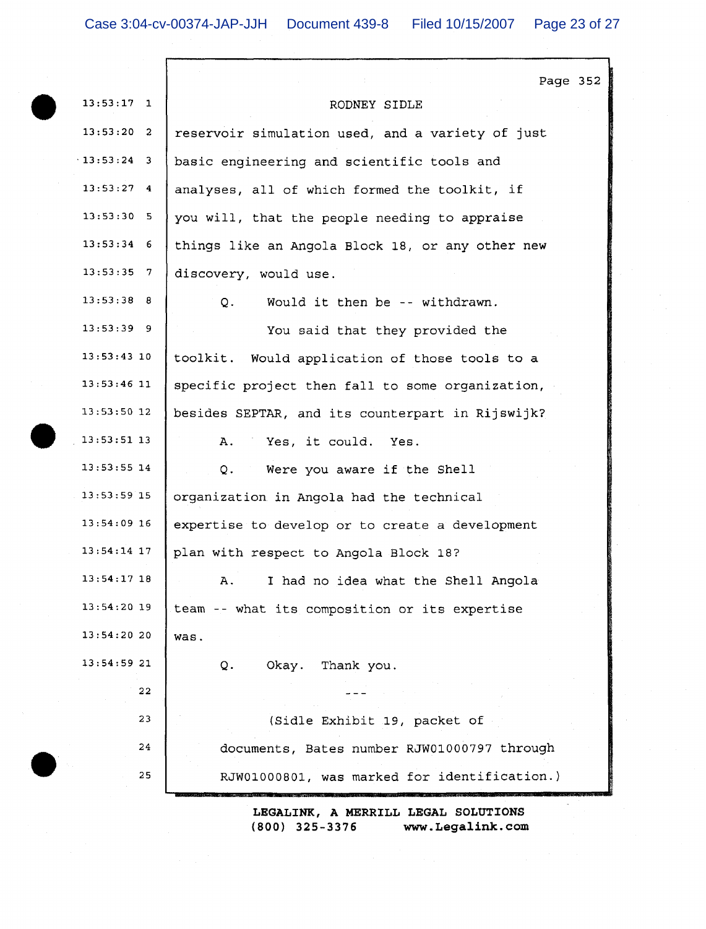|               | Page 352                                         |
|---------------|--------------------------------------------------|
| $13:53:17$ 1  | RODNEY SIDLE                                     |
| $13:53:20$ 2  | reservoir simulation used, and a variety of just |
| $13:53:24$ 3  | basic engineering and scientific tools and       |
| $13:53:27$ 4  | analyses, all of which formed the toolkit, if    |
| 13:53:30 5    | you will, that the people needing to appraise    |
| $13:53:34$ 6  | things like an Angola Block 18, or any other new |
| $13:53:35$ 7  | discovery, would use.                            |
| $13:53:38$ 8  | Would it then be -- withdrawn.<br>Q.             |
| $13:53:39$ 9  | You said that they provided the                  |
| $13:53:43$ 10 | toolkit. Would application of those tools to a   |
| $13:53:46$ 11 | specific project then fall to some organization, |
| $13:53:50$ 12 | besides SEPTAR, and its counterpart in Rijswijk? |
| $13:53:51$ 13 | Α.<br>Yes, it could. Yes.                        |
| $13:53:55$ 14 | Were you aware if the Shell<br>Q.                |
| $13:53:59$ 15 | organization in Angola had the technical         |
| $13:54:09$ 16 | expertise to develop or to create a development  |
| $13:54:14$ 17 | plan with respect to Angola Block 18?            |
| 13:54:17 18   | I had no idea what the Shell Angola<br>Α.        |
| $13:54:20$ 19 | team -- what its composition or its expertise    |
| 13:54:20 20   | was.                                             |
| 13:54:59 21   | Okay. Thank you.<br>Q.                           |
| 22            |                                                  |
| 23            | (Sidle Exhibit 19, packet of                     |
| 24            | documents, Bates number RJW01000797 through      |
| 25            | RJW01000801, was marked for identification.)     |
|               | LEGALINK, A MERRILL LEGAL SOLUTIONS              |

 $(800)$  325-3376 www.Legalink.com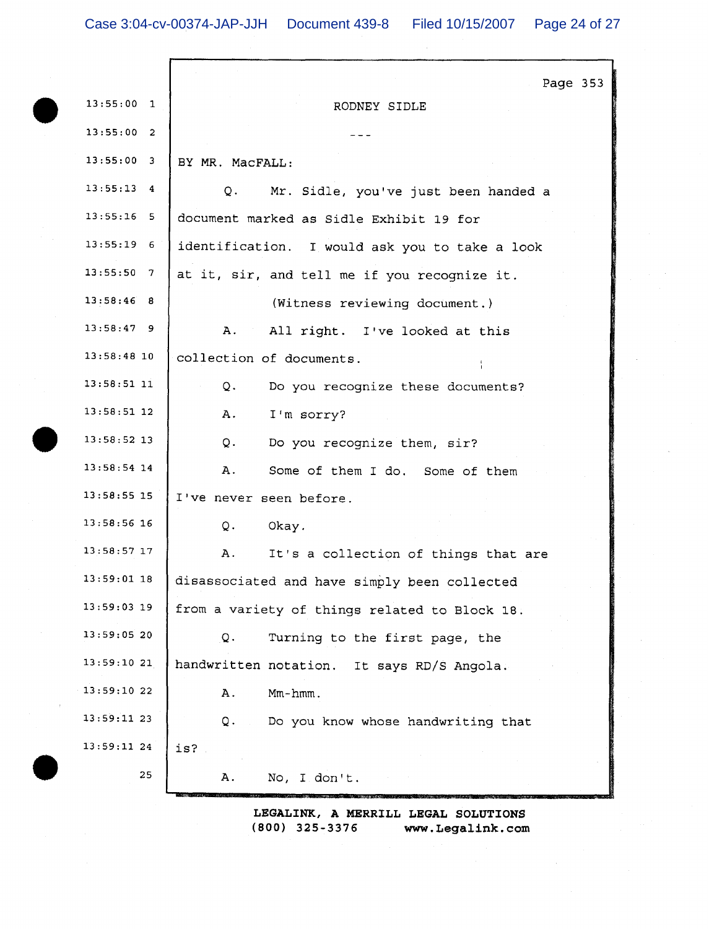|                 | Page 353                                       |
|-----------------|------------------------------------------------|
| 13:55:00<br>1   | RODNEY SIDLE                                   |
| 13:55:00<br>2   |                                                |
| 13:55:00<br>3   | BY MR. MacFALL:                                |
| 13:55:13<br>4   | Q.<br>Mr. Sidle, you've just been handed a     |
| 13:55:16<br>- 5 | document marked as Sidle Exhibit 19 for        |
| $13:55:19$ 6    | identification. I would ask you to take a look |
| 13:55:50<br>-7  | at it, sir, and tell me if you recognize it.   |
| 13:58:46 8      | (Witness reviewing document.)                  |
| $13:58:47$ 9    | A.<br>All right. I've looked at this           |
| 13:58:4810      | collection of documents.                       |
| $13:58:51$ 11   | Q.<br>Do you recognize these documents?        |
| $13:58:51$ 12   | I'm sorry?<br>Α.                               |
| 13:58:52 13     | Q.<br>Do you recognize them, sir?              |
| 13:58:54 14     | Some of them I do. Some of them<br>Α.          |
| 13:58:55 15     | I've never seen before.                        |
| 13:58:56 16     | Q.<br>Okay.                                    |
| 13:58:57 17     | Α.<br>It's a collection of things that are     |
| 13:59:01 18     | disassociated and have simply been collected   |
| 13:59:03 19     | from a variety of things related to Block 18.  |
| 13:59:05 20     | Turning to the first page, the<br>Q.           |
| 13:59:10 21     | handwritten notation. It says RD/S Angola.     |
| 13:59:10 22     | $Mm-hmm$ .<br>Α.                               |
| 13:59:11 23     | Do you know whose handwriting that<br>Q.       |
| 13:59:11 24     | is?                                            |
| 25              | Α.<br>No, I don't.                             |
|                 |                                                |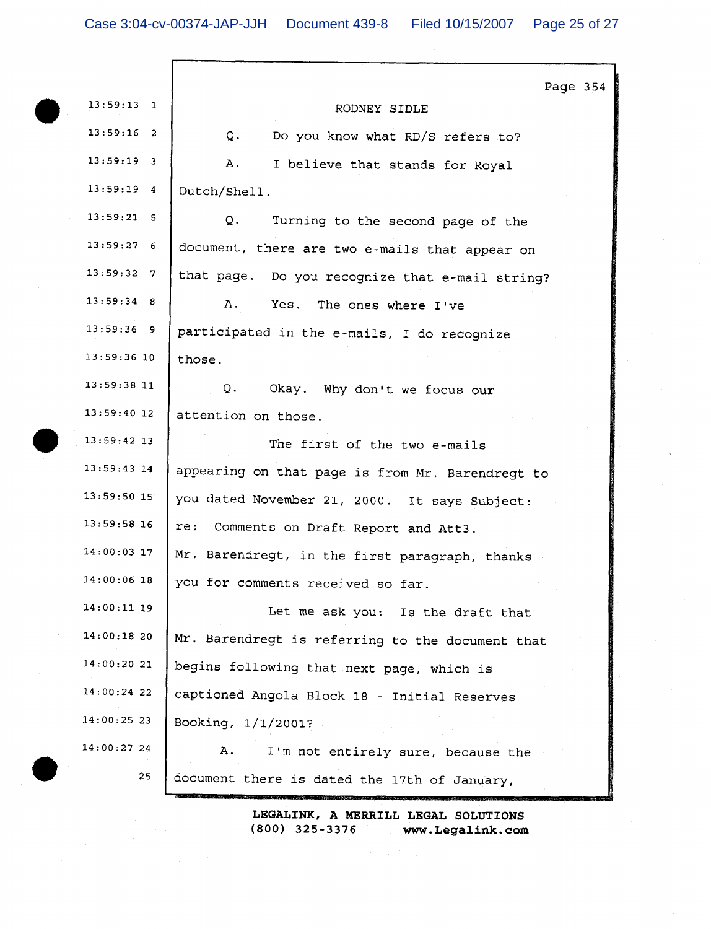|                    | Page 354                                         |
|--------------------|--------------------------------------------------|
| $13:59:13$ 1       | RODNEY SIDLE                                     |
| $13:59:16$ 2       | Q.<br>Do you know what RD/S refers to?           |
| $13:59:19$ 3       | Α.<br>I believe that stands for Royal            |
| $13:59:19$ 4       | Dutch/Shell.                                     |
| $13:59:21$ 5       | Q.<br>Turning to the second page of the          |
| 13:59:276          | document, there are two e-mails that appear on   |
| $13:59:32 \quad 7$ | that page. Do you recognize that e-mail string?  |
| $13:59:34$ 8       | Α.<br>Yes.<br>The ones where I've                |
| $13:59:36$ 9       | participated in the e-mails, I do recognize      |
| $13:59:36$ 10      | those.                                           |
| $13:59:38$ 11      | Q.<br>Okay. Why don't we focus our               |
| $13:59:40$ 12      | attention on those.                              |
| $13:59:42$ 13      | The first of the two e-mails                     |
| $13:59:43$ 14      | appearing on that page is from Mr. Barendregt to |
| $13:59:50$ 15      | you dated November 21, 2000. It says Subject:    |
| $13:59:58$ 16      | re:<br>Comments on Draft Report and Att3.        |
| $14:00:03$ 17      | Mr. Barendregt, in the first paragraph, thanks   |
| 14:00:06 18        | you for comments received so far.                |
| 14:00:11 19        | Let me ask you: Is the draft that                |
| 14:00:1820         | Mr. Barendregt is referring to the document that |
| 14:00:20 21        | begins following that next page, which is        |
| 14:00:24 22        | captioned Angola Block 18 - Initial Reserves     |
| 14:00:25 23        | Booking, 1/1/2001?                               |
| 14:00:2724         | Α.<br>I'm not entirely sure, because the         |
| 25                 | document there is dated the 17th of January,     |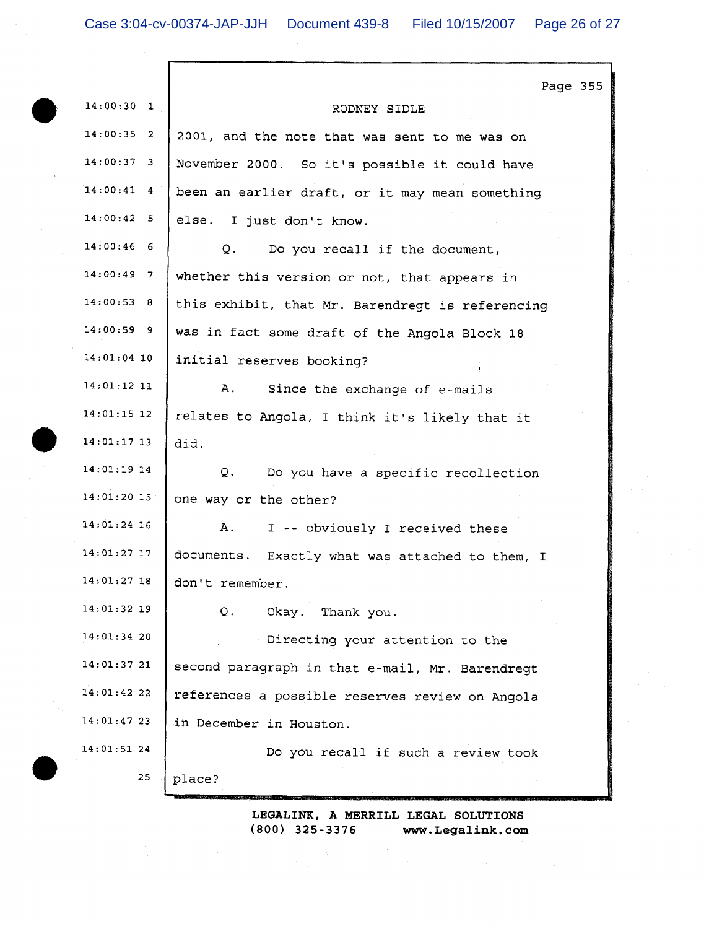Е

| $14:00:30$ 1<br>RODNEY SIDLE<br>$14:00:35$ 2<br>2001, and the note that was sent to me was on<br>$14:00:37$ 3<br>November 2000. So it's possible it could have<br>$14:00:41$ 4<br>been an earlier draft, or it may mean something<br>14:00:42 5<br>else. I just don't know.<br>$14:00:46$ 6<br>Q.<br>Do you recall if the document,<br>$14:00:49$ 7<br>whether this version or not, that appears in<br>14:00:53 8<br>this exhibit, that Mr. Barendregt is referencing<br>$14:00:59$ 9<br>was in fact some draft of the Angola Block 18<br>$14:01:04$ 10<br>initial reserves booking?<br>$14:01:12$ 11<br>Α.<br>Since the exchange of e-mails<br>$14:01:15$ 12<br>relates to Angola, I think it's likely that it<br>$14:01:17$ 13<br>did.<br>$14:01:19$ 14<br>Q.<br>Do you have a specific recollection<br>14:01:20 15<br>one way or the other?<br>$14:01:24$ 16<br>A.<br>I -- obviously I received these<br>14:01:27 17<br>documents. Exactly what was attached to them, I<br>14:01:27 18<br>don't remember.<br>14:01:32 19<br>Q.<br>Okay. Thank you.<br>14:01:34 20<br>Directing your attention to the<br>14:01:3721<br>second paragraph in that e-mail, Mr. Barendregt<br>$14:01:42$ 22<br>references a possible reserves review on Angola<br>14:01:47 23<br>in December in Houston.<br>14:01:51 24<br>Do you recall if such a review took<br>25<br>place? |  | Page 355 |  |
|--------------------------------------------------------------------------------------------------------------------------------------------------------------------------------------------------------------------------------------------------------------------------------------------------------------------------------------------------------------------------------------------------------------------------------------------------------------------------------------------------------------------------------------------------------------------------------------------------------------------------------------------------------------------------------------------------------------------------------------------------------------------------------------------------------------------------------------------------------------------------------------------------------------------------------------------------------------------------------------------------------------------------------------------------------------------------------------------------------------------------------------------------------------------------------------------------------------------------------------------------------------------------------------------------------------------------------------------------------------|--|----------|--|
|                                                                                                                                                                                                                                                                                                                                                                                                                                                                                                                                                                                                                                                                                                                                                                                                                                                                                                                                                                                                                                                                                                                                                                                                                                                                                                                                                              |  |          |  |
|                                                                                                                                                                                                                                                                                                                                                                                                                                                                                                                                                                                                                                                                                                                                                                                                                                                                                                                                                                                                                                                                                                                                                                                                                                                                                                                                                              |  |          |  |
|                                                                                                                                                                                                                                                                                                                                                                                                                                                                                                                                                                                                                                                                                                                                                                                                                                                                                                                                                                                                                                                                                                                                                                                                                                                                                                                                                              |  |          |  |
|                                                                                                                                                                                                                                                                                                                                                                                                                                                                                                                                                                                                                                                                                                                                                                                                                                                                                                                                                                                                                                                                                                                                                                                                                                                                                                                                                              |  |          |  |
|                                                                                                                                                                                                                                                                                                                                                                                                                                                                                                                                                                                                                                                                                                                                                                                                                                                                                                                                                                                                                                                                                                                                                                                                                                                                                                                                                              |  |          |  |
|                                                                                                                                                                                                                                                                                                                                                                                                                                                                                                                                                                                                                                                                                                                                                                                                                                                                                                                                                                                                                                                                                                                                                                                                                                                                                                                                                              |  |          |  |
|                                                                                                                                                                                                                                                                                                                                                                                                                                                                                                                                                                                                                                                                                                                                                                                                                                                                                                                                                                                                                                                                                                                                                                                                                                                                                                                                                              |  |          |  |
|                                                                                                                                                                                                                                                                                                                                                                                                                                                                                                                                                                                                                                                                                                                                                                                                                                                                                                                                                                                                                                                                                                                                                                                                                                                                                                                                                              |  |          |  |
|                                                                                                                                                                                                                                                                                                                                                                                                                                                                                                                                                                                                                                                                                                                                                                                                                                                                                                                                                                                                                                                                                                                                                                                                                                                                                                                                                              |  |          |  |
|                                                                                                                                                                                                                                                                                                                                                                                                                                                                                                                                                                                                                                                                                                                                                                                                                                                                                                                                                                                                                                                                                                                                                                                                                                                                                                                                                              |  |          |  |
|                                                                                                                                                                                                                                                                                                                                                                                                                                                                                                                                                                                                                                                                                                                                                                                                                                                                                                                                                                                                                                                                                                                                                                                                                                                                                                                                                              |  |          |  |
|                                                                                                                                                                                                                                                                                                                                                                                                                                                                                                                                                                                                                                                                                                                                                                                                                                                                                                                                                                                                                                                                                                                                                                                                                                                                                                                                                              |  |          |  |
|                                                                                                                                                                                                                                                                                                                                                                                                                                                                                                                                                                                                                                                                                                                                                                                                                                                                                                                                                                                                                                                                                                                                                                                                                                                                                                                                                              |  |          |  |
|                                                                                                                                                                                                                                                                                                                                                                                                                                                                                                                                                                                                                                                                                                                                                                                                                                                                                                                                                                                                                                                                                                                                                                                                                                                                                                                                                              |  |          |  |
|                                                                                                                                                                                                                                                                                                                                                                                                                                                                                                                                                                                                                                                                                                                                                                                                                                                                                                                                                                                                                                                                                                                                                                                                                                                                                                                                                              |  |          |  |
|                                                                                                                                                                                                                                                                                                                                                                                                                                                                                                                                                                                                                                                                                                                                                                                                                                                                                                                                                                                                                                                                                                                                                                                                                                                                                                                                                              |  |          |  |
|                                                                                                                                                                                                                                                                                                                                                                                                                                                                                                                                                                                                                                                                                                                                                                                                                                                                                                                                                                                                                                                                                                                                                                                                                                                                                                                                                              |  |          |  |
|                                                                                                                                                                                                                                                                                                                                                                                                                                                                                                                                                                                                                                                                                                                                                                                                                                                                                                                                                                                                                                                                                                                                                                                                                                                                                                                                                              |  |          |  |
|                                                                                                                                                                                                                                                                                                                                                                                                                                                                                                                                                                                                                                                                                                                                                                                                                                                                                                                                                                                                                                                                                                                                                                                                                                                                                                                                                              |  |          |  |
|                                                                                                                                                                                                                                                                                                                                                                                                                                                                                                                                                                                                                                                                                                                                                                                                                                                                                                                                                                                                                                                                                                                                                                                                                                                                                                                                                              |  |          |  |
|                                                                                                                                                                                                                                                                                                                                                                                                                                                                                                                                                                                                                                                                                                                                                                                                                                                                                                                                                                                                                                                                                                                                                                                                                                                                                                                                                              |  |          |  |
|                                                                                                                                                                                                                                                                                                                                                                                                                                                                                                                                                                                                                                                                                                                                                                                                                                                                                                                                                                                                                                                                                                                                                                                                                                                                                                                                                              |  |          |  |
|                                                                                                                                                                                                                                                                                                                                                                                                                                                                                                                                                                                                                                                                                                                                                                                                                                                                                                                                                                                                                                                                                                                                                                                                                                                                                                                                                              |  |          |  |
|                                                                                                                                                                                                                                                                                                                                                                                                                                                                                                                                                                                                                                                                                                                                                                                                                                                                                                                                                                                                                                                                                                                                                                                                                                                                                                                                                              |  |          |  |
|                                                                                                                                                                                                                                                                                                                                                                                                                                                                                                                                                                                                                                                                                                                                                                                                                                                                                                                                                                                                                                                                                                                                                                                                                                                                                                                                                              |  |          |  |